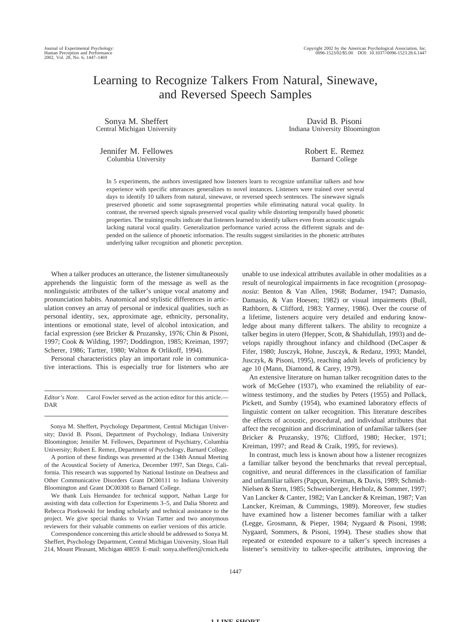# Learning to Recognize Talkers From Natural, Sinewave, and Reversed Speech Samples

Sonya M. Sheffert Central Michigan University

David B. Pisoni Indiana University Bloomington

Jennifer M. Fellowes Columbia University

Robert E. Remez Barnard College

In 5 experiments, the authors investigated how listeners learn to recognize unfamiliar talkers and how experience with specific utterances generalizes to novel instances. Listeners were trained over several days to identify 10 talkers from natural, sinewave, or reversed speech sentences. The sinewave signals preserved phonetic and some suprasegmental properties while eliminating natural vocal quality. In contrast, the reversed speech signals preserved vocal quality while distorting temporally based phonetic properties. The training results indicate that listeners learned to identify talkers even from acoustic signals lacking natural vocal quality. Generalization performance varied across the different signals and depended on the salience of phonetic information. The results suggest similarities in the phonetic attributes underlying talker recognition and phonetic perception.

When a talker produces an utterance, the listener simultaneously apprehends the linguistic form of the message as well as the nonlinguistic attributes of the talker's unique vocal anatomy and pronunciation habits. Anatomical and stylistic differences in articulation convey an array of personal or indexical qualities, such as personal identity, sex, approximate age, ethnicity, personality, intentions or emotional state, level of alcohol intoxication, and facial expression (see Bricker & Pruzansky, 1976; Chin & Pisoni, 1997; Cook & Wilding, 1997; Doddington, 1985; Kreiman, 1997; Scherer, 1986; Tartter, 1980; Walton & Orlikoff, 1994).

Personal characteristics play an important role in communicative interactions. This is especially true for listeners who are

*Editor's Note.* Carol Fowler served as the action editor for this article.— DAR

Sonya M. Sheffert, Psychology Department, Central Michigan University; David B. Pisoni, Department of Psychology, Indiana University Bloomington; Jennifer M. Fellowes, Department of Psychiatry, Columbia University; Robert E. Remez, Department of Psychology, Barnard College.

A portion of these findings was presented at the 134th Annual Meeting of the Acoustical Society of America, December 1997, San Diego, California. This research was supported by National Institute on Deafness and Other Communicative Disorders Grant DC00111 to Indiana University Bloomington and Grant DC00308 to Barnard College.

We thank Luis Hernandez for technical support, Nathan Large for assisting with data collection for Experiments 3–5, and Dalia Shoretz and Rebecca Piorkowski for lending scholarly and technical assistance to the project. We give special thanks to Vivian Tartter and two anonymous reviewers for their valuable comments on earlier versions of this article.

Correspondence concerning this article should be addressed to Sonya M. Sheffert, Psychology Department, Central Michigan University, Sloan Hall 214, Mount Pleasant, Michigan 48859. E-mail: sonya.sheffert@cmich.edu unable to use indexical attributes available in other modalities as a result of neurological impairments in face recognition ( *prosopagnosia*: Benton & Van Allen, 1968; Bodamer, 1947; Damasio, Damasio, & Van Hoesen; 1982) or visual impairments (Bull, Rathborn, & Clifford, 1983; Yarmey, 1986). Over the course of a lifetime, listeners acquire very detailed and enduring knowledge about many different talkers. The ability to recognize a talker begins in utero (Hepper, Scott, & Shahidullah, 1993) and develops rapidly throughout infancy and childhood (DeCasper & Fifer, 1980; Jusczyk, Hohne, Jusczyk, & Redanz, 1993; Mandel, Jusczyk, & Pisoni, 1995), reaching adult levels of proficiency by age 10 (Mann, Diamond, & Carey, 1979).

An extensive literature on human talker recognition dates to the work of McGehee (1937), who examined the reliability of earwitness testimony, and the studies by Peters (1955) and Pollack, Pickett, and Sumby (1954), who examined laboratory effects of linguistic content on talker recognition. This literature describes the effects of acoustic, procedural, and individual attributes that affect the recognition and discrimination of unfamiliar talkers (see Bricker & Pruzansky, 1976; Clifford, 1980; Hecker, 1971; Kreiman, 1997; and Read & Craik, 1995, for reviews).

In contrast, much less is known about how a listener recognizes a familiar talker beyond the benchmarks that reveal perceptual, cognitive, and neural differences in the classification of familiar and unfamiliar talkers (Papçun, Kreiman, & Davis, 1989; Schmidt-Nielsen & Stern, 1985; Schweinberger, Herholz, & Sommer, 1997; Van Lancker & Canter, 1982; Van Lancker & Kreiman, 1987; Van Lancker, Kreiman, & Cummings, 1989). Moreover, few studies have examined how a listener becomes familiar with a talker (Legge, Grosmann, & Pieper, 1984; Nygaard & Pisoni, 1998; Nygaard, Sommers, & Pisoni, 1994). These studies show that repeated or extended exposure to a talker's speech increases a listener's sensitivity to talker-specific attributes, improving the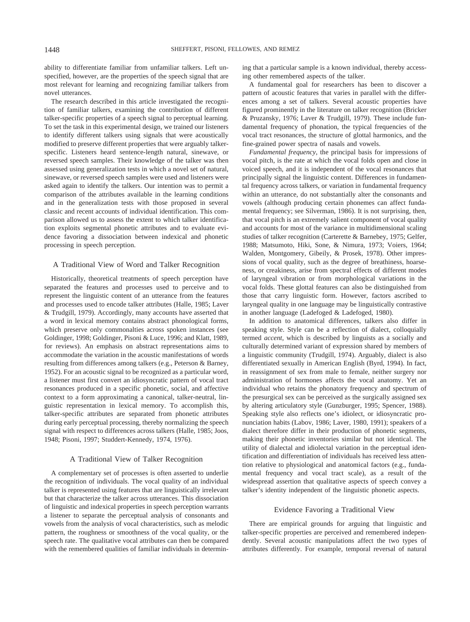ability to differentiate familiar from unfamiliar talkers. Left unspecified, however, are the properties of the speech signal that are most relevant for learning and recognizing familiar talkers from novel utterances.

The research described in this article investigated the recognition of familiar talkers, examining the contribution of different talker-specific properties of a speech signal to perceptual learning. To set the task in this experimental design, we trained our listeners to identify different talkers using signals that were acoustically modified to preserve different properties that were arguably talkerspecific. Listeners heard sentence-length natural, sinewave, or reversed speech samples. Their knowledge of the talker was then assessed using generalization tests in which a novel set of natural, sinewave, or reversed speech samples were used and listeners were asked again to identify the talkers. Our intention was to permit a comparison of the attributes available in the learning conditions and in the generalization tests with those proposed in several classic and recent accounts of individual identification. This comparison allowed us to assess the extent to which talker identification exploits segmental phonetic attributes and to evaluate evidence favoring a dissociation between indexical and phonetic processing in speech perception.

## A Traditional View of Word and Talker Recognition

Historically, theoretical treatments of speech perception have separated the features and processes used to perceive and to represent the linguistic content of an utterance from the features and processes used to encode talker attributes (Halle, 1985; Laver & Trudgill, 1979). Accordingly, many accounts have asserted that a word in lexical memory contains abstract phonological forms, which preserve only commonalties across spoken instances (see Goldinger, 1998; Goldinger, Pisoni & Luce, 1996; and Klatt, 1989, for reviews). An emphasis on abstract representations aims to accommodate the variation in the acoustic manifestations of words resulting from differences among talkers (e.g., Peterson & Barney, 1952). For an acoustic signal to be recognized as a particular word, a listener must first convert an idiosyncratic pattern of vocal tract resonances produced in a specific phonetic, social, and affective context to a form approximating a canonical, talker-neutral, linguistic representation in lexical memory. To accomplish this, talker-specific attributes are separated from phonetic attributes during early perceptual processing, thereby normalizing the speech signal with respect to differences across talkers (Halle, 1985; Joos, 1948; Pisoni, 1997; Studdert-Kennedy, 1974, 1976).

## A Traditional View of Talker Recognition

A complementary set of processes is often asserted to underlie the recognition of individuals. The vocal quality of an individual talker is represented using features that are linguistically irrelevant but that characterize the talker across utterances. This dissociation of linguistic and indexical properties in speech perception warrants a listener to separate the perceptual analysis of consonants and vowels from the analysis of vocal characteristics, such as melodic pattern, the roughness or smoothness of the vocal quality, or the speech rate. The qualitative vocal attributes can then be compared with the remembered qualities of familiar individuals in determining that a particular sample is a known individual, thereby accessing other remembered aspects of the talker.

A fundamental goal for researchers has been to discover a pattern of acoustic features that varies in parallel with the differences among a set of talkers. Several acoustic properties have figured prominently in the literature on talker recognition (Bricker & Pruzansky, 1976; Laver & Trudgill, 1979). These include fundamental frequency of phonation, the typical frequencies of the vocal tract resonances, the structure of glottal harmonics, and the fine-grained power spectra of nasals and vowels.

*Fundamental frequency*, the principal basis for impressions of vocal pitch, is the rate at which the vocal folds open and close in voiced speech, and it is independent of the vocal resonances that principally signal the linguistic content. Differences in fundamental frequency across talkers, or variation in fundamental frequency within an utterance, do not substantially alter the consonants and vowels (although producing certain phonemes can affect fundamental frequency; see Silverman, 1986). It is not surprising, then, that vocal pitch is an extremely salient component of vocal quality and accounts for most of the variance in multidimensional scaling studies of talker recognition (Carterette & Barnebey, 1975; Gelfer, 1988; Matsumoto, Hiki, Sone, & Nimura, 1973; Voiers, 1964; Walden, Montgomery, Gibeily, & Prosek, 1978). Other impressions of vocal quality, such as the degree of breathiness, hoarseness, or creakiness, arise from spectral effects of different modes of laryngeal vibration or from morphological variations in the vocal folds. These glottal features can also be distinguished from those that carry linguistic form. However, factors ascribed to laryngeal quality in one language may be linguistically contrastive in another language (Ladefoged & Ladefoged, 1980).

In addition to anatomical differences, talkers also differ in speaking style. Style can be a reflection of dialect, colloquially termed *accent*, which is described by linguists as a socially and culturally determined variant of expression shared by members of a linguistic community (Trudgill, 1974). Arguably, dialect is also differentiated sexually in American English (Byrd, 1994). In fact, in reassignment of sex from male to female, neither surgery nor administration of hormones affects the vocal anatomy. Yet an individual who retains the phonatory frequency and spectrum of the presurgical sex can be perceived as the surgically assigned sex by altering articulatory style (Gunzburger, 1995; Spencer, 1988). Speaking style also reflects one's idiolect, or idiosyncratic pronunciation habits (Labov, 1986; Laver, 1980, 1991); speakers of a dialect therefore differ in their production of phonetic segments, making their phonetic inventories similar but not identical. The utility of dialectal and idiolectal variation in the perceptual identification and differentiation of individuals has received less attention relative to physiological and anatomical factors (e.g., fundamental frequency and vocal tract scale), as a result of the widespread assertion that qualitative aspects of speech convey a talker's identity independent of the linguistic phonetic aspects.

## Evidence Favoring a Traditional View

There are empirical grounds for arguing that linguistic and talker-specific properties are perceived and remembered independently. Several acoustic manipulations affect the two types of attributes differently. For example, temporal reversal of natural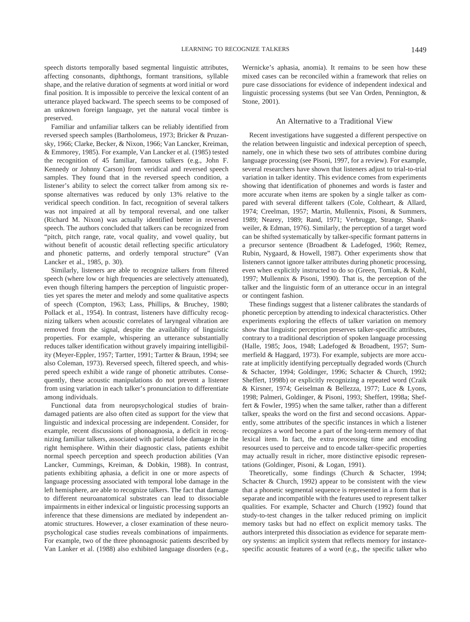speech distorts temporally based segmental linguistic attributes, affecting consonants, diphthongs, formant transitions, syllable shape, and the relative duration of segments at word initial or word final position. It is impossible to perceive the lexical content of an utterance played backward. The speech seems to be composed of an unknown foreign language, yet the natural vocal timbre is preserved.

Familiar and unfamiliar talkers can be reliably identified from reversed speech samples (Bartholomeus, 1973; Bricker & Pruzansky, 1966; Clarke, Becker, & Nixon, 1966; Van Lancker, Kreiman, & Emmorey, 1985). For example, Van Lancker et al. (1985) tested the recognition of 45 familiar, famous talkers (e.g., John F. Kennedy or Johnny Carson) from veridical and reversed speech samples. They found that in the reversed speech condition, a listener's ability to select the correct talker from among six response alternatives was reduced by only 13% relative to the veridical speech condition. In fact, recognition of several talkers was not impaired at all by temporal reversal, and one talker (Richard M. Nixon) was actually identified better in reversed speech. The authors concluded that talkers can be recognized from "pitch, pitch range, rate, vocal quality, and vowel quality, but without benefit of acoustic detail reflecting specific articulatory and phonetic patterns, and orderly temporal structure" (Van Lancker et al., 1985, p. 30).

Similarly, listeners are able to recognize talkers from filtered speech (where low or high frequencies are selectively attenuated), even though filtering hampers the perception of linguistic properties yet spares the meter and melody and some qualitative aspects of speech (Compton, 1963; Lass, Phillips, & Bruchey, 1980; Pollack et al., 1954). In contrast, listeners have difficulty recognizing talkers when acoustic correlates of laryngeal vibration are removed from the signal, despite the availability of linguistic properties. For example, whispering an utterance substantially reduces talker identification without gravely impairing intelligibility (Meyer-Eppler, 1957; Tartter, 1991; Tartter & Braun, 1994; see also Coleman, 1973). Reversed speech, filtered speech, and whispered speech exhibit a wide range of phonetic attributes. Consequently, these acoustic manipulations do not prevent a listener from using variation in each talker's pronunciation to differentiate among individuals.

Functional data from neuropsychological studies of braindamaged patients are also often cited as support for the view that linguistic and indexical processing are independent. Consider, for example, recent discussions of phonoagnosia, a deficit in recognizing familiar talkers, associated with parietal lobe damage in the right hemisphere. Within their diagnostic class, patients exhibit normal speech perception and speech production abilities (Van Lancker, Cummings, Kreiman, & Dobkin, 1988). In contrast, patients exhibiting aphasia, a deficit in one or more aspects of language processing associated with temporal lobe damage in the left hemisphere, are able to recognize talkers. The fact that damage to different neuroanatomical substrates can lead to dissociable impairments in either indexical or linguistic processing supports an inference that these dimensions are mediated by independent anatomic structures. However, a closer examination of these neuropsychological case studies reveals combinations of impairments. For example, two of the three phonoagnosic patients described by Van Lanker et al. (1988) also exhibited language disorders (e.g., Wernicke's aphasia, anomia). It remains to be seen how these mixed cases can be reconciled within a framework that relies on pure case dissociations for evidence of independent indexical and linguistic processing systems (but see Van Orden, Pennington, & Stone, 2001).

## An Alternative to a Traditional View

Recent investigations have suggested a different perspective on the relation between linguistic and indexical perception of speech, namely, one in which these two sets of attributes combine during language processing (see Pisoni, 1997, for a review). For example, several researchers have shown that listeners adjust to trial-to-trial variation in talker identity. This evidence comes from experiments showing that identification of phonemes and words is faster and more accurate when items are spoken by a single talker as compared with several different talkers (Cole, Coltheart, & Allard, 1974; Creelman, 1957; Martin, Mullennix, Pisoni, & Summers, 1989; Nearey, 1989; Rand, 1971; Verbrugge, Strange, Shankweiler, & Edman, 1976). Similarly, the perception of a target word can be shifted systematically by talker-specific formant patterns in a precursor sentence (Broadbent & Ladefoged, 1960; Remez, Rubin, Nygaard, & Howell, 1987). Other experiments show that listeners cannot ignore talker attributes during phonetic processing, even when explicitly instructed to do so (Green, Tomiak, & Kuhl, 1997; Mullennix & Pisoni, 1990). That is, the perception of the talker and the linguistic form of an utterance occur in an integral or contingent fashion.

These findings suggest that a listener calibrates the standards of phonetic perception by attending to indexical characteristics. Other experiments exploring the effects of talker variation on memory show that linguistic perception preserves talker-specific attributes, contrary to a traditional description of spoken language processing (Halle, 1985; Joos, 1948; Ladefoged & Broadbent, 1957; Summerfield & Haggard, 1973). For example, subjects are more accurate at implicitly identifying perceptually degraded words (Church & Schacter, 1994; Goldinger, 1996; Schacter & Church, 1992; Sheffert, 1998b) or explicitly recognizing a repeated word (Craik & Kirsner, 1974; Geiselman & Bellezza, 1977; Luce & Lyons, 1998; Palmeri, Goldinger, & Pisoni, 1993; Sheffert, 1998a; Sheffert & Fowler, 1995) when the same talker, rather than a different talker, speaks the word on the first and second occasions. Apparently, some attributes of the specific instances in which a listener recognizes a word become a part of the long-term memory of that lexical item. In fact, the extra processing time and encoding resources used to perceive and to encode talker-specific properties may actually result in richer, more distinctive episodic representations (Goldinger, Pisoni, & Logan, 1991).

Theoretically, some findings (Church & Schacter, 1994; Schacter & Church, 1992) appear to be consistent with the view that a phonetic segmental sequence is represented in a form that is separate and incompatible with the features used to represent talker qualities. For example, Schacter and Church (1992) found that study-to-test changes in the talker reduced priming on implicit memory tasks but had no effect on explicit memory tasks. The authors interpreted this dissociation as evidence for separate memory systems: an implicit system that reflects memory for instancespecific acoustic features of a word (e.g., the specific talker who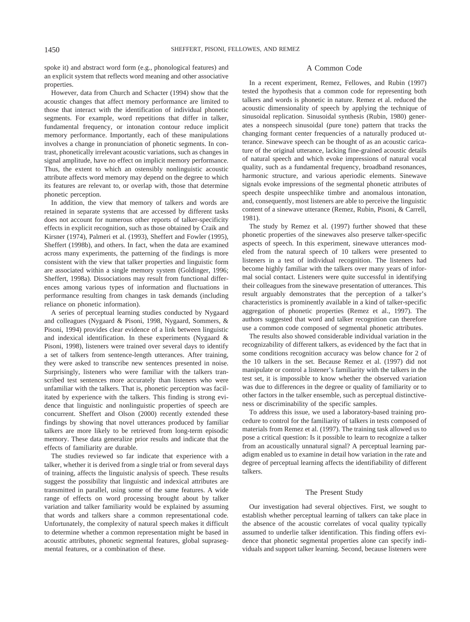spoke it) and abstract word form (e.g., phonological features) and an explicit system that reflects word meaning and other associative properties.

However, data from Church and Schacter (1994) show that the acoustic changes that affect memory performance are limited to those that interact with the identification of individual phonetic segments. For example, word repetitions that differ in talker, fundamental frequency, or intonation contour reduce implicit memory performance. Importantly, each of these manipulations involves a change in pronunciation of phonetic segments. In contrast, phonetically irrelevant acoustic variations, such as changes in signal amplitude, have no effect on implicit memory performance. Thus, the extent to which an ostensibly nonlinguistic acoustic attribute affects word memory may depend on the degree to which its features are relevant to, or overlap with, those that determine phonetic perception.

In addition, the view that memory of talkers and words are retained in separate systems that are accessed by different tasks does not account for numerous other reports of talker-specificity effects in explicit recognition, such as those obtained by Craik and Kirsner (1974), Palmeri et al. (1993), Sheffert and Fowler (1995), Sheffert (1998b), and others. In fact, when the data are examined across many experiments, the patterning of the findings is more consistent with the view that talker properties and linguistic form are associated within a single memory system (Goldinger, 1996; Sheffert, 1998a). Dissociations may result from functional differences among various types of information and fluctuations in performance resulting from changes in task demands (including reliance on phonetic information).

A series of perceptual learning studies conducted by Nygaard and colleagues (Nygaard & Pisoni, 1998, Nygaard, Sommers, & Pisoni, 1994) provides clear evidence of a link between linguistic and indexical identification. In these experiments (Nygaard & Pisoni, 1998), listeners were trained over several days to identify a set of talkers from sentence-length utterances. After training, they were asked to transcribe new sentences presented in noise. Surprisingly, listeners who were familiar with the talkers transcribed test sentences more accurately than listeners who were unfamiliar with the talkers. That is, phonetic perception was facilitated by experience with the talkers. This finding is strong evidence that linguistic and nonlinguistic properties of speech are concurrent. Sheffert and Olson (2000) recently extended these findings by showing that novel utterances produced by familiar talkers are more likely to be retrieved from long-term episodic memory. These data generalize prior results and indicate that the effects of familiarity are durable.

The studies reviewed so far indicate that experience with a talker, whether it is derived from a single trial or from several days of training, affects the linguistic analysis of speech. These results suggest the possibility that linguistic and indexical attributes are transmitted in parallel, using some of the same features. A wide range of effects on word processing brought about by talker variation and talker familiarity would be explained by assuming that words and talkers share a common representational code. Unfortunately, the complexity of natural speech makes it difficult to determine whether a common representation might be based in acoustic attributes, phonetic segmental features, global suprasegmental features, or a combination of these.

## A Common Code

In a recent experiment, Remez, Fellowes, and Rubin (1997) tested the hypothesis that a common code for representing both talkers and words is phonetic in nature. Remez et al. reduced the acoustic dimensionality of speech by applying the technique of sinusoidal replication. Sinusoidal synthesis (Rubin, 1980) generates a nonspeech sinusoidal (pure tone) pattern that tracks the changing formant center frequencies of a naturally produced utterance. Sinewave speech can be thought of as an acoustic caricature of the original utterance, lacking fine-grained acoustic details of natural speech and which evoke impressions of natural vocal quality, such as a fundamental frequency, broadband resonances, harmonic structure, and various aperiodic elements. Sinewave signals evoke impressions of the segmental phonetic attributes of speech despite unspeechlike timbre and anomalous intonation, and, consequently, most listeners are able to perceive the linguistic content of a sinewave utterance (Remez, Rubin, Pisoni, & Carrell, 1981).

The study by Remez et al. (1997) further showed that these phonetic properties of the sinewaves also preserve talker-specific aspects of speech. In this experiment, sinewave utterances modeled from the natural speech of 10 talkers were presented to listeners in a test of individual recognition. The listeners had become highly familiar with the talkers over many years of informal social contact. Listeners were quite successful in identifying their colleagues from the sinewave presentation of utterances. This result arguably demonstrates that the perception of a talker's characteristics is prominently available in a kind of talker-specific aggregation of phonetic properties (Remez et al., 1997). The authors suggested that word and talker recognition can therefore use a common code composed of segmental phonetic attributes.

The results also showed considerable individual variation in the recognizability of different talkers, as evidenced by the fact that in some conditions recognition accuracy was below chance for 2 of the 10 talkers in the set. Because Remez et al. (1997) did not manipulate or control a listener's familiarity with the talkers in the test set, it is impossible to know whether the observed variation was due to differences in the degree or quality of familiarity or to other factors in the talker ensemble, such as perceptual distinctiveness or discriminability of the specific samples.

To address this issue, we used a laboratory-based training procedure to control for the familiarity of talkers in tests composed of materials from Remez et al. (1997). The training task allowed us to pose a critical question: Is it possible to learn to recognize a talker from an acoustically unnatural signal? A perceptual learning paradigm enabled us to examine in detail how variation in the rate and degree of perceptual learning affects the identifiability of different talkers.

## The Present Study

Our investigation had several objectives. First, we sought to establish whether perceptual learning of talkers can take place in the absence of the acoustic correlates of vocal quality typically assumed to underlie talker identification. This finding offers evidence that phonetic segmental properties alone can specify individuals and support talker learning. Second, because listeners were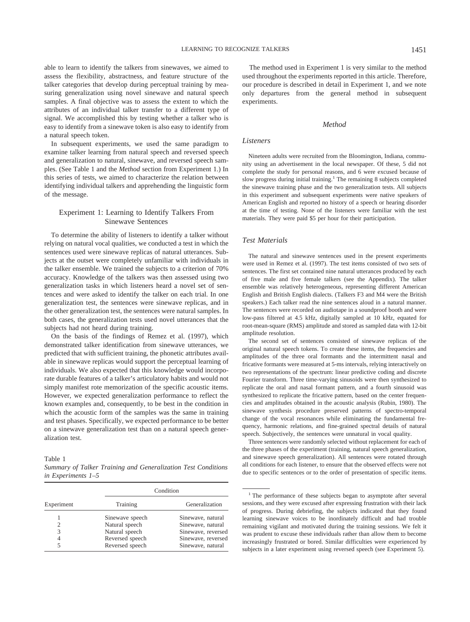able to learn to identify the talkers from sinewaves, we aimed to assess the flexibility, abstractness, and feature structure of the talker categories that develop during perceptual training by measuring generalization using novel sinewave and natural speech samples. A final objective was to assess the extent to which the attributes of an individual talker transfer to a different type of signal. We accomplished this by testing whether a talker who is easy to identify from a sinewave token is also easy to identify from a natural speech token.

In subsequent experiments, we used the same paradigm to examine talker learning from natural speech and reversed speech and generalization to natural, sinewave, and reversed speech samples. (See Table 1 and the *Method* section from Experiment 1.) In this series of tests, we aimed to characterize the relation between identifying individual talkers and apprehending the linguistic form of the message.

# Experiment 1: Learning to Identify Talkers From Sinewave Sentences

To determine the ability of listeners to identify a talker without relying on natural vocal qualities, we conducted a test in which the sentences used were sinewave replicas of natural utterances. Subjects at the outset were completely unfamiliar with individuals in the talker ensemble. We trained the subjects to a criterion of 70% accuracy. Knowledge of the talkers was then assessed using two generalization tasks in which listeners heard a novel set of sentences and were asked to identify the talker on each trial. In one generalization test, the sentences were sinewave replicas, and in the other generalization test, the sentences were natural samples. In both cases, the generalization tests used novel utterances that the subjects had not heard during training.

On the basis of the findings of Remez et al. (1997), which demonstrated talker identification from sinewave utterances, we predicted that with sufficient training, the phonetic attributes available in sinewave replicas would support the perceptual learning of individuals. We also expected that this knowledge would incorporate durable features of a talker's articulatory habits and would not simply manifest rote memorization of the specific acoustic items. However, we expected generalization performance to reflect the known examples and, consequently, to be best in the condition in which the acoustic form of the samples was the same in training and test phases. Specifically, we expected performance to be better on a sinewave generalization test than on a natural speech generalization test.

#### Table 1

| Summary of Talker Training and Generalization Test Conditions |  |  |
|---------------------------------------------------------------|--|--|
| in Experiments 1–5                                            |  |  |

|            |                 | Condition          |
|------------|-----------------|--------------------|
| Experiment | Training        | Generalization     |
|            | Sinewave speech | Sinewave, natural  |
| 2          | Natural speech  | Sinewave, natural  |
| 3          | Natural speech  | Sinewave, reversed |
|            | Reversed speech | Sinewave, reversed |
|            | Reversed speech | Sinewave, natural  |

The method used in Experiment 1 is very similar to the method used throughout the experiments reported in this article. Therefore, our procedure is described in detail in Experiment 1, and we note only departures from the general method in subsequent experiments.

## *Method*

## *Listeners*

Nineteen adults were recruited from the Bloomington, Indiana, community using an advertisement in the local newspaper. Of these, 5 did not complete the study for personal reasons, and 6 were excused because of slow progress during initial training.1 The remaining 8 subjects completed the sinewave training phase and the two generalization tests. All subjects in this experiment and subsequent experiments were native speakers of American English and reported no history of a speech or hearing disorder at the time of testing. None of the listeners were familiar with the test materials. They were paid \$5 per hour for their participation.

## *Test Materials*

The natural and sinewave sentences used in the present experiments were used in Remez et al. (1997). The test items consisted of two sets of sentences. The first set contained nine natural utterances produced by each of five male and five female talkers (see the Appendix). The talker ensemble was relatively heterogeneous, representing different American English and British English dialects. (Talkers F3 and M4 were the British speakers.) Each talker read the nine sentences aloud in a natural manner. The sentences were recorded on audiotape in a soundproof booth and were low-pass filtered at 4.5 kHz, digitally sampled at 10 kHz, equated for root-mean-square (RMS) amplitude and stored as sampled data with 12-bit amplitude resolution.

The second set of sentences consisted of sinewave replicas of the original natural speech tokens. To create these items, the frequencies and amplitudes of the three oral formants and the intermittent nasal and fricative formants were measured at 5-ms intervals, relying interactively on two representations of the spectrum: linear predictive coding and discrete Fourier transform. Three time-varying sinusoids were then synthesized to replicate the oral and nasal formant pattern, and a fourth sinusoid was synthesized to replicate the fricative pattern, based on the center frequencies and amplitudes obtained in the acoustic analysis (Rubin, 1980). The sinewave synthesis procedure preserved patterns of spectro-temporal change of the vocal resonances while eliminating the fundamental frequency, harmonic relations, and fine-grained spectral details of natural speech. Subjectively, the sentences were unnatural in vocal quality.

Three sentences were randomly selected without replacement for each of the three phases of the experiment (training, natural speech generalization, and sinewave speech generalization). All sentences were rotated through all conditions for each listener, to ensure that the observed effects were not due to specific sentences or to the order of presentation of specific items.

<sup>&</sup>lt;sup>1</sup> The performance of these subjects began to asymptote after several sessions, and they were excused after expressing frustration with their lack of progress. During debriefing, the subjects indicated that they found learning sinewave voices to be inordinately difficult and had trouble remaining vigilant and motivated during the training sessions. We felt it was prudent to excuse these individuals rather than allow them to become increasingly frustrated or bored. Similar difficulties were experienced by subjects in a later experiment using reversed speech (see Experiment 5).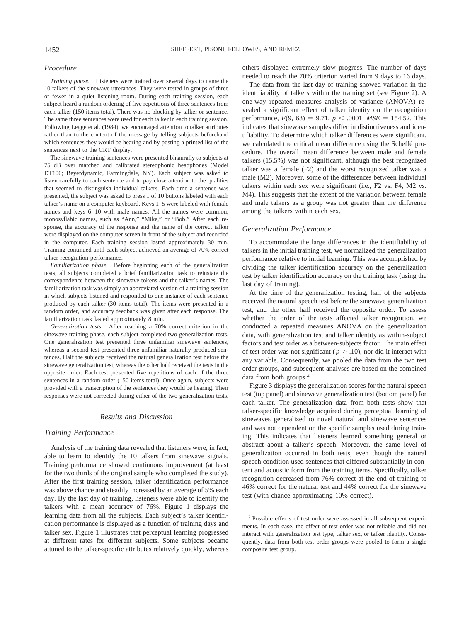## *Procedure*

*Training phase.* Listeners were trained over several days to name the 10 talkers of the sinewave utterances. They were tested in groups of three or fewer in a quiet listening room. During each training session, each subject heard a random ordering of five repetitions of three sentences from each talker (150 items total). There was no blocking by talker or sentence. The same three sentences were used for each talker in each training session. Following Legge et al. (1984), we encouraged attention to talker attributes rather than to the content of the message by telling subjects beforehand which sentences they would be hearing and by posting a printed list of the sentences next to the CRT display.

The sinewave training sentences were presented binaurally to subjects at 75 dB over matched and calibrated stereophonic headphones (Model DT100; Beyerdynamic, Farmingdale, NY). Each subject was asked to listen carefully to each sentence and to pay close attention to the qualities that seemed to distinguish individual talkers. Each time a sentence was presented, the subject was asked to press 1 of 10 buttons labeled with each talker's name on a computer keyboard. Keys 1–5 were labeled with female names and keys 6–10 with male names. All the names were common, monosyllabic names, such as "Ann," "Mike," or "Bob." After each response, the accuracy of the response and the name of the correct talker were displayed on the computer screen in front of the subject and recorded in the computer. Each training session lasted approximately 30 min. Training continued until each subject achieved an average of 70% correct talker recognition performance.

*Familiarization phase.* Before beginning each of the generalization tests, all subjects completed a brief familiarization task to reinstate the correspondence between the sinewave tokens and the talker's names. The familiarization task was simply an abbreviated version of a training session in which subjects listened and responded to one instance of each sentence produced by each talker (30 items total). The items were presented in a random order, and accuracy feedback was given after each response. The familiarization task lasted approximately 8 min.

*Generalization tests.* After reaching a 70% correct criterion in the sinewave training phase, each subject completed two generalization tests. One generalization test presented three unfamiliar sinewave sentences, whereas a second test presented three unfamiliar naturally produced sentences. Half the subjects received the natural generalization test before the sinewave generalization test, whereas the other half received the tests in the opposite order. Each test presented five repetitions of each of the three sentences in a random order (150 items total). Once again, subjects were provided with a transcription of the sentences they would be hearing. Their responses were not corrected during either of the two generalization tests.

## *Results and Discussion*

## *Training Performance*

Analysis of the training data revealed that listeners were, in fact, able to learn to identify the 10 talkers from sinewave signals. Training performance showed continuous improvement (at least for the two thirds of the original sample who completed the study). After the first training session, talker identification performance was above chance and steadily increased by an average of 5% each day. By the last day of training, listeners were able to identify the talkers with a mean accuracy of 76%. Figure 1 displays the learning data from all the subjects. Each subject's talker identification performance is displayed as a function of training days and talker sex. Figure 1 illustrates that perceptual learning progressed at different rates for different subjects. Some subjects became attuned to the talker-specific attributes relatively quickly, whereas others displayed extremely slow progress. The number of days needed to reach the 70% criterion varied from 9 days to 16 days.

The data from the last day of training showed variation in the identifiability of talkers within the training set (see Figure 2). A one-way repeated measures analysis of variance (ANOVA) revealed a significant effect of talker identity on the recognition performance,  $F(9, 63) = 9.71$ ,  $p < .0001$ ,  $MSE = 154.52$ . This indicates that sinewave samples differ in distinctiveness and identifiability. To determine which talker differences were significant, we calculated the critical mean difference using the Scheffé procedure. The overall mean difference between male and female talkers (15.5%) was not significant, although the best recognized talker was a female (F2) and the worst recognized talker was a male (M2). Moreover, some of the differences between individual talkers within each sex were significant (i.e., F2 vs. F4, M2 vs. M4). This suggests that the extent of the variation between female and male talkers as a group was not greater than the difference among the talkers within each sex.

#### *Generalization Performance*

To accommodate the large differences in the identifiability of talkers in the initial training test, we normalized the generalization performance relative to initial learning. This was accomplished by dividing the talker identification accuracy on the generalization test by talker identification accuracy on the training task (using the last day of training).

At the time of the generalization testing, half of the subjects received the natural speech test before the sinewave generalization test, and the other half received the opposite order. To assess whether the order of the tests affected talker recognition, we conducted a repeated measures ANOVA on the generalization data, with generalization test and talker identity as within-subject factors and test order as a between-subjects factor. The main effect of test order was not significant ( $p > .10$ ), nor did it interact with any variable. Consequently, we pooled the data from the two test order groups, and subsequent analyses are based on the combined data from both groups.<sup>2</sup>

Figure 3 displays the generalization scores for the natural speech test (top panel) and sinewave generalization test (bottom panel) for each talker. The generalization data from both tests show that talker-specific knowledge acquired during perceptual learning of sinewaves generalized to novel natural and sinewave sentences and was not dependent on the specific samples used during training. This indicates that listeners learned something general or abstract about a talker's speech. Moreover, the same level of generalization occurred in both tests, even though the natural speech condition used sentences that differed substantially in content and acoustic form from the training items. Specifically, talker recognition decreased from 76% correct at the end of training to 46% correct for the natural test and 44% correct for the sinewave test (with chance approximating 10% correct).

<sup>2</sup> Possible effects of test order were assessed in all subsequent experiments. In each case, the effect of test order was not reliable and did not interact with generalization test type, talker sex, or talker identity. Consequently, data from both test order groups were pooled to form a single composite test group.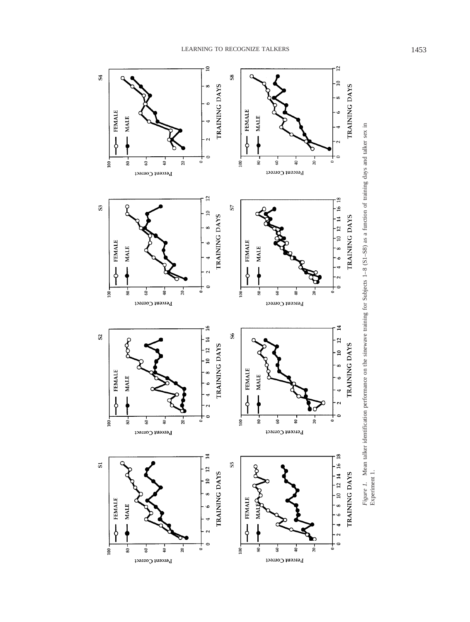

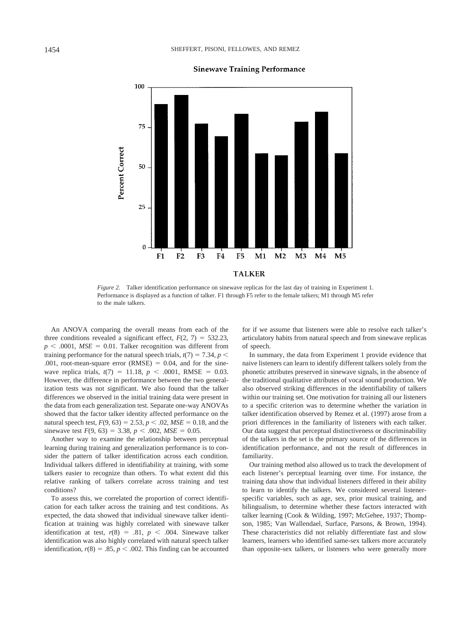## **Sinewave Training Performance**



*Figure 2.* Talker identification performance on sinewave replicas for the last day of training in Experiment 1. Performance is displayed as a function of talker. F1 through F5 refer to the female talkers; M1 through M5 refer to the male talkers.

An ANOVA comparing the overall means from each of the three conditions revealed a significant effect,  $F(2, 7) = 532.23$ ,  $p < .0001$ , *MSE* = 0.01. Talker recognition was different from training performance for the natural speech trials,  $t(7) = 7.34$ ,  $p <$ .001, root-mean-square error  $(RMSE) = 0.04$ , and for the sinewave replica trials,  $t(7) = 11.18$ ,  $p < .0001$ , RMSE = 0.03. However, the difference in performance between the two generalization tests was not significant. We also found that the talker differences we observed in the initial training data were present in the data from each generalization test. Separate one-way ANOVAs showed that the factor talker identity affected performance on the natural speech test,  $F(9, 63) = 2.53, p < .02, MSE = 0.18$ , and the sinewave test  $F(9, 63) = 3.38, p < .002, MSE = 0.05$ .

Another way to examine the relationship between perceptual learning during training and generalization performance is to consider the pattern of talker identification across each condition. Individual talkers differed in identifiability at training, with some talkers easier to recognize than others. To what extent did this relative ranking of talkers correlate across training and test conditions?

To assess this, we correlated the proportion of correct identification for each talker across the training and test conditions. As expected, the data showed that individual sinewave talker identification at training was highly correlated with sinewave talker identification at test,  $r(8) = .81$ ,  $p < .004$ . Sinewave talker identification was also highly correlated with natural speech talker identification,  $r(8) = .85$ ,  $p < .002$ . This finding can be accounted

for if we assume that listeners were able to resolve each talker's articulatory habits from natural speech and from sinewave replicas of speech.

In summary, the data from Experiment 1 provide evidence that naive listeners can learn to identify different talkers solely from the phonetic attributes preserved in sinewave signals, in the absence of the traditional qualitative attributes of vocal sound production. We also observed striking differences in the identifiability of talkers within our training set. One motivation for training all our listeners to a specific criterion was to determine whether the variation in talker identification observed by Remez et al. (1997) arose from a priori differences in the familiarity of listeners with each talker. Our data suggest that perceptual distinctiveness or discriminability of the talkers in the set is the primary source of the differences in identification performance, and not the result of differences in familiarity.

Our training method also allowed us to track the development of each listener's perceptual learning over time. For instance, the training data show that individual listeners differed in their ability to learn to identify the talkers. We considered several listenerspecific variables, such as age, sex, prior musical training, and bilingualism, to determine whether these factors interacted with talker learning (Cook & Wilding, 1997; McGehee, 1937; Thompson, 1985; Van Wallendael, Surface, Parsons, & Brown, 1994). These characteristics did not reliably differentiate fast and slow learners, learners who identified same-sex talkers more accurately than opposite-sex talkers, or listeners who were generally more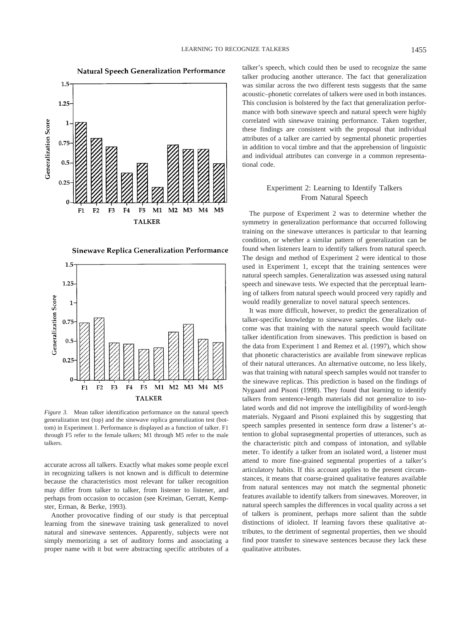

## **Natural Speech Generalization Performance**

**Sinewave Replica Generalization Performance** 



*Figure 3.* Mean talker identification performance on the natural speech generalization test (top) and the sinewave replica generalization test (bottom) in Experiment 1. Performance is displayed as a function of talker. F1 through F5 refer to the female talkers; M1 through M5 refer to the male talkers.

accurate across all talkers. Exactly what makes some people excel in recognizing talkers is not known and is difficult to determine because the characteristics most relevant for talker recognition may differ from talker to talker, from listener to listener, and perhaps from occasion to occasion (see Kreiman, Gerratt, Kempster, Erman, & Berke, 1993).

Another provocative finding of our study is that perceptual learning from the sinewave training task generalized to novel natural and sinewave sentences. Apparently, subjects were not simply memorizing a set of auditory forms and associating a proper name with it but were abstracting specific attributes of a talker's speech, which could then be used to recognize the same talker producing another utterance. The fact that generalization was similar across the two different tests suggests that the same acoustic–phonetic correlates of talkers were used in both instances. This conclusion is bolstered by the fact that generalization performance with both sinewave speech and natural speech were highly correlated with sinewave training performance. Taken together, these findings are consistent with the proposal that individual attributes of a talker are carried by segmental phonetic properties in addition to vocal timbre and that the apprehension of linguistic and individual attributes can converge in a common representational code.

# Experiment 2: Learning to Identify Talkers From Natural Speech

The purpose of Experiment 2 was to determine whether the symmetry in generalization performance that occurred following training on the sinewave utterances is particular to that learning condition, or whether a similar pattern of generalization can be found when listeners learn to identify talkers from natural speech. The design and method of Experiment 2 were identical to those used in Experiment 1, except that the training sentences were natural speech samples. Generalization was assessed using natural speech and sinewave tests. We expected that the perceptual learning of talkers from natural speech would proceed very rapidly and would readily generalize to novel natural speech sentences.

It was more difficult, however, to predict the generalization of talker-specific knowledge to sinewave samples. One likely outcome was that training with the natural speech would facilitate talker identification from sinewaves. This prediction is based on the data from Experiment 1 and Remez et al. (1997), which show that phonetic characteristics are available from sinewave replicas of their natural utterances. An alternative outcome, no less likely, was that training with natural speech samples would not transfer to the sinewave replicas. This prediction is based on the findings of Nygaard and Pisoni (1998). They found that learning to identify talkers from sentence-length materials did not generalize to isolated words and did not improve the intelligibility of word-length materials. Nygaard and Pisoni explained this by suggesting that speech samples presented in sentence form draw a listener's attention to global suprasegmental properties of utterances, such as the characteristic pitch and compass of intonation, and syllable meter. To identify a talker from an isolated word, a listener must attend to more fine-grained segmental properties of a talker's articulatory habits. If this account applies to the present circumstances, it means that coarse-grained qualitative features available from natural sentences may not match the segmental phonetic features available to identify talkers from sinewaves. Moreover, in natural speech samples the differences in vocal quality across a set of talkers is prominent, perhaps more salient than the subtle distinctions of idiolect. If learning favors these qualitative attributes, to the detriment of segmental properties, then we should find poor transfer to sinewave sentences because they lack these qualitative attributes.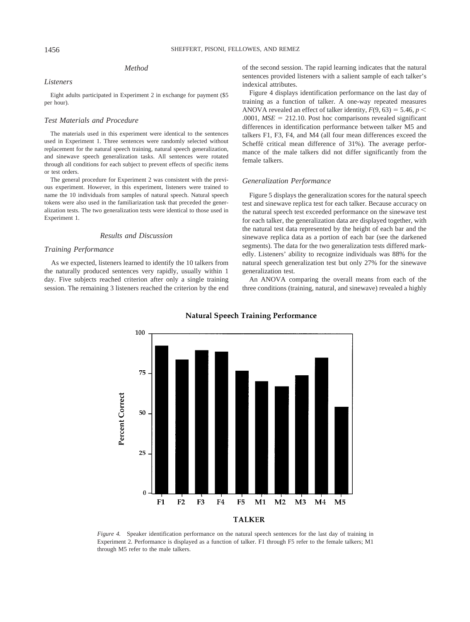## *Method*

#### *Listeners*

Eight adults participated in Experiment 2 in exchange for payment (\$5 per hour).

## *Test Materials and Procedure*

The materials used in this experiment were identical to the sentences used in Experiment 1. Three sentences were randomly selected without replacement for the natural speech training, natural speech generalization, and sinewave speech generalization tasks. All sentences were rotated through all conditions for each subject to prevent effects of specific items or test orders.

The general procedure for Experiment 2 was consistent with the previous experiment. However, in this experiment, listeners were trained to name the 10 individuals from samples of natural speech. Natural speech tokens were also used in the familiarization task that preceded the generalization tests. The two generalization tests were identical to those used in Experiment 1.

## *Results and Discussion*

#### *Training Performance*

As we expected, listeners learned to identify the 10 talkers from the naturally produced sentences very rapidly, usually within 1 day. Five subjects reached criterion after only a single training session. The remaining 3 listeners reached the criterion by the end of the second session. The rapid learning indicates that the natural sentences provided listeners with a salient sample of each talker's indexical attributes.

Figure 4 displays identification performance on the last day of training as a function of talker. A one-way repeated measures ANOVA revealed an effect of talker identity,  $F(9, 63) = 5.46$ ,  $p <$  $.0001$ ,  $MSE = 212.10$ . Post hoc comparisons revealed significant differences in identification performance between talker M5 and talkers F1, F3, F4, and M4 (all four mean differences exceed the Scheffé critical mean difference of 31%). The average performance of the male talkers did not differ significantly from the female talkers.

#### *Generalization Performance*

Figure 5 displays the generalization scores for the natural speech test and sinewave replica test for each talker. Because accuracy on the natural speech test exceeded performance on the sinewave test for each talker, the generalization data are displayed together, with the natural test data represented by the height of each bar and the sinewave replica data as a portion of each bar (see the darkened segments). The data for the two generalization tests differed markedly. Listeners' ability to recognize individuals was 88% for the natural speech generalization test but only 27% for the sinewave generalization test.

An ANOVA comparing the overall means from each of the three conditions (training, natural, and sinewave) revealed a highly



## **Natural Speech Training Performance**

*Figure 4.* Speaker identification performance on the natural speech sentences for the last day of training in Experiment 2. Performance is displayed as a function of talker. F1 through F5 refer to the female talkers; M1 through M5 refer to the male talkers.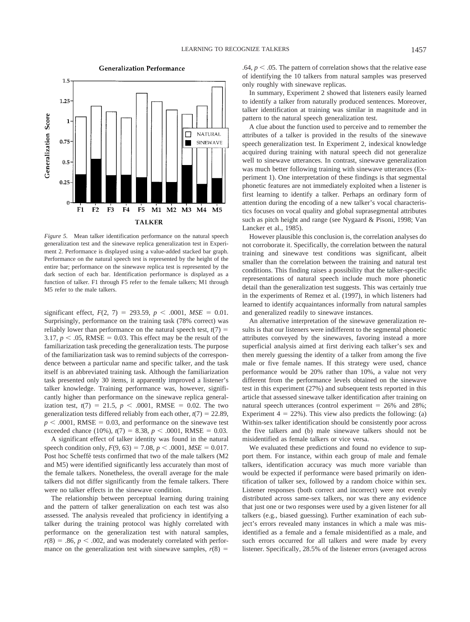

## **Generalization Performance**

*Figure 5.* Mean talker identification performance on the natural speech generalization test and the sinewave replica generalization test in Experiment 2. Performance is displayed using a value-added stacked bar graph. Performance on the natural speech test is represented by the height of the entire bar; performance on the sinewave replica test is represented by the dark section of each bar. Identification performance is displayed as a function of talker. F1 through F5 refer to the female talkers; M1 through M5 refer to the male talkers.

significant effect,  $F(2, 7) = 293.59$ ,  $p < .0001$ ,  $MSE = 0.01$ . Surprisingly, performance on the training task (78% correct) was reliably lower than performance on the natural speech test,  $t(7)$  = 3.17,  $p < .05$ , RMSE = 0.03. This effect may be the result of the familiarization task preceding the generalization tests. The purpose of the familiarization task was to remind subjects of the correspondence between a particular name and specific talker, and the task itself is an abbreviated training task. Although the familiarization task presented only 30 items, it apparently improved a listener's talker knowledge. Training performance was, however, significantly higher than performance on the sinewave replica generalization test,  $t(7) = 21.5$ ,  $p < .0001$ , RMSE = 0.02. The two generalization tests differed reliably from each other,  $t(7) = 22.89$ ,  $p < .0001$ , RMSE = 0.03, and performance on the sinewave test exceeded chance (10%),  $t(7) = 8.38$ ,  $p < .0001$ , RMSE = 0.03.

A significant effect of talker identity was found in the natural speech condition only,  $F(9, 63) = 7.08$ ,  $p < .0001$ ,  $MSE = 0.017$ . Post hoc Scheffé tests confirmed that two of the male talkers (M2 and M5) were identified significantly less accurately than most of the female talkers. Nonetheless, the overall average for the male talkers did not differ significantly from the female talkers. There were no talker effects in the sinewave condition.

The relationship between perceptual learning during training and the pattern of talker generalization on each test was also assessed. The analysis revealed that proficiency in identifying a talker during the training protocol was highly correlated with performance on the generalization test with natural samples,  $r(8) = .86$ ,  $p < .002$ , and was moderately correlated with performance on the generalization test with sinewave samples,  $r(8)$  =

 $.64, p < .05$ . The pattern of correlation shows that the relative ease of identifying the 10 talkers from natural samples was preserved only roughly with sinewave replicas.

In summary, Experiment 2 showed that listeners easily learned to identify a talker from naturally produced sentences. Moreover, talker identification at training was similar in magnitude and in pattern to the natural speech generalization test.

A clue about the function used to perceive and to remember the attributes of a talker is provided in the results of the sinewave speech generalization test. In Experiment 2, indexical knowledge acquired during training with natural speech did not generalize well to sinewave utterances. In contrast, sinewave generalization was much better following training with sinewave utterances (Experiment 1). One interpretation of these findings is that segmental phonetic features are not immediately exploited when a listener is first learning to identify a talker. Perhaps an ordinary form of attention during the encoding of a new talker's vocal characteristics focuses on vocal quality and global suprasegmental attributes such as pitch height and range (see Nygaard & Pisoni, 1998; Van Lancker et al., 1985).

However plausible this conclusion is, the correlation analyses do not corroborate it. Specifically, the correlation between the natural training and sinewave test conditions was significant, albeit smaller than the correlation between the training and natural test conditions. This finding raises a possibility that the talker-specific representations of natural speech include much more phonetic detail than the generalization test suggests. This was certainly true in the experiments of Remez et al. (1997), in which listeners had learned to identify acquaintances informally from natural samples and generalized readily to sinewave instances.

An alternative interpretation of the sinewave generalization results is that our listeners were indifferent to the segmental phonetic attributes conveyed by the sinewaves, favoring instead a more superficial analysis aimed at first deriving each talker's sex and then merely guessing the identity of a talker from among the five male or five female names. If this strategy were used, chance performance would be 20% rather than 10%, a value not very different from the performance levels obtained on the sinewave test in this experiment (27%) and subsequent tests reported in this article that assessed sinewave talker identification after training on natural speech utterances (control experiment  $= 26\%$  and  $28\%$ ; Experiment  $4 = 22\%$ ). This view also predicts the following: (a) Within-sex talker identification should be consistently poor across the five talkers and (b) male sinewave talkers should not be misidentified as female talkers or vice versa.

We evaluated these predictions and found no evidence to support them. For instance, within each group of male and female talkers, identification accuracy was much more variable than would be expected if performance were based primarily on identification of talker sex, followed by a random choice within sex. Listener responses (both correct and incorrect) were not evenly distributed across same-sex talkers, nor was there any evidence that just one or two responses were used by a given listener for all talkers (e.g., biased guessing). Further examination of each subject's errors revealed many instances in which a male was misidentified as a female and a female misidentified as a male, and such errors occurred for all talkers and were made by every listener. Specifically, 28.5% of the listener errors (averaged across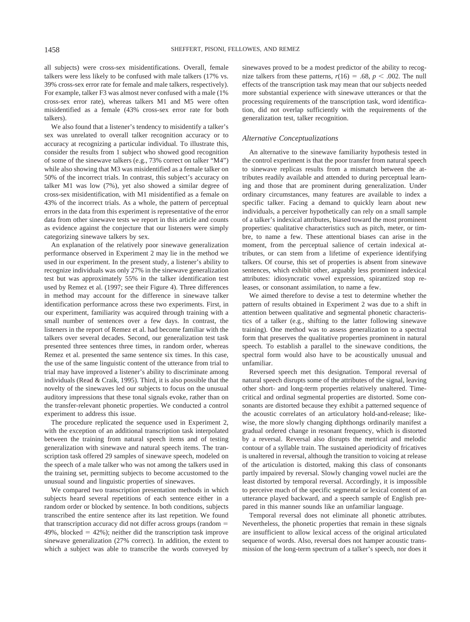all subjects) were cross-sex misidentifications. Overall, female talkers were less likely to be confused with male talkers (17% vs. 39% cross-sex error rate for female and male talkers, respectively). For example, talker F3 was almost never confused with a male (1% cross-sex error rate), whereas talkers M1 and M5 were often misidentified as a female (43% cross-sex error rate for both talkers).

We also found that a listener's tendency to misidentify a talker's sex was unrelated to overall talker recognition accuracy or to accuracy at recognizing a particular individual. To illustrate this, consider the results from 1 subject who showed good recognition of some of the sinewave talkers (e.g., 73% correct on talker "M4") while also showing that M3 was misidentified as a female talker on 50% of the incorrect trials. In contrast, this subject's accuracy on talker M1 was low (7%), yet also showed a similar degree of cross-sex misidentification, with M1 misidentified as a female on 43% of the incorrect trials. As a whole, the pattern of perceptual errors in the data from this experiment is representative of the error data from other sinewave tests we report in this article and counts as evidence against the conjecture that our listeners were simply categorizing sinewave talkers by sex.

An explanation of the relatively poor sinewave generalization performance observed in Experiment 2 may lie in the method we used in our experiment. In the present study, a listener's ability to recognize individuals was only 27% in the sinewave generalization test but was approximately 55% in the talker identification test used by Remez et al. (1997; see their Figure 4). Three differences in method may account for the difference in sinewave talker identification performance across these two experiments. First, in our experiment, familiarity was acquired through training with a small number of sentences over a few days. In contrast, the listeners in the report of Remez et al. had become familiar with the talkers over several decades. Second, our generalization test task presented three sentences three times, in random order, whereas Remez et al. presented the same sentence six times. In this case, the use of the same linguistic content of the utterance from trial to trial may have improved a listener's ability to discriminate among individuals (Read & Craik, 1995). Third, it is also possible that the novelty of the sinewaves led our subjects to focus on the unusual auditory impressions that these tonal signals evoke, rather than on the transfer-relevant phonetic properties. We conducted a control experiment to address this issue.

The procedure replicated the sequence used in Experiment 2, with the exception of an additional transcription task interpolated between the training from natural speech items and of testing generalization with sinewave and natural speech items. The transcription task offered 29 samples of sinewave speech, modeled on the speech of a male talker who was not among the talkers used in the training set, permitting subjects to become accustomed to the unusual sound and linguistic properties of sinewaves.

We compared two transcription presentation methods in which subjects heard several repetitions of each sentence either in a random order or blocked by sentence. In both conditions, subjects transcribed the entire sentence after its last repetition. We found that transcription accuracy did not differ across groups (random 49%, blocked  $=$  42%); neither did the transcription task improve sinewave generalization (27% correct). In addition, the extent to which a subject was able to transcribe the words conveyed by sinewaves proved to be a modest predictor of the ability to recognize talkers from these patterns,  $r(16) = .68$ ,  $p < .002$ . The null effects of the transcription task may mean that our subjects needed more substantial experience with sinewave utterances or that the processing requirements of the transcription task, word identification, did not overlap sufficiently with the requirements of the generalization test, talker recognition.

#### *Alternative Conceptualizations*

An alternative to the sinewave familiarity hypothesis tested in the control experiment is that the poor transfer from natural speech to sinewave replicas results from a mismatch between the attributes readily available and attended to during perceptual learning and those that are prominent during generalization. Under ordinary circumstances, many features are available to index a specific talker. Facing a demand to quickly learn about new individuals, a perceiver hypothetically can rely on a small sample of a talker's indexical attributes, biased toward the most prominent properties: qualitative characteristics such as pitch, meter, or timbre, to name a few. These attentional biases can arise in the moment, from the perceptual salience of certain indexical attributes, or can stem from a lifetime of experience identifying talkers. Of course, this set of properties is absent from sinewave sentences, which exhibit other, arguably less prominent indexical attributes: idiosyncratic vowel expression, spirantized stop releases, or consonant assimilation, to name a few.

We aimed therefore to devise a test to determine whether the pattern of results obtained in Experiment 2 was due to a shift in attention between qualitative and segmental phonetic characteristics of a talker (e.g., shifting to the latter following sinewave training). One method was to assess generalization to a spectral form that preserves the qualitative properties prominent in natural speech. To establish a parallel to the sinewave conditions, the spectral form would also have to be acoustically unusual and unfamiliar.

Reversed speech met this designation. Temporal reversal of natural speech disrupts some of the attributes of the signal, leaving other short- and long-term properties relatively unaltered. Timecritical and ordinal segmental properties are distorted. Some consonants are distorted because they exhibit a patterned sequence of the acoustic correlates of an articulatory hold-and-release; likewise, the more slowly changing diphthongs ordinarily manifest a gradual ordered change in resonant frequency, which is distorted by a reversal. Reversal also disrupts the metrical and melodic contour of a syllable train. The sustained aperiodicity of fricatives is unaltered in reversal, although the transition to voicing at release of the articulation is distorted, making this class of consonants partly impaired by reversal. Slowly changing vowel nuclei are the least distorted by temporal reversal. Accordingly, it is impossible to perceive much of the specific segmental or lexical content of an utterance played backward, and a speech sample of English prepared in this manner sounds like an unfamiliar language.

Temporal reversal does not eliminate all phonetic attributes. Nevertheless, the phonetic properties that remain in these signals are insufficient to allow lexical access of the original articulated sequence of words. Also, reversal does not hamper acoustic transmission of the long-term spectrum of a talker's speech, nor does it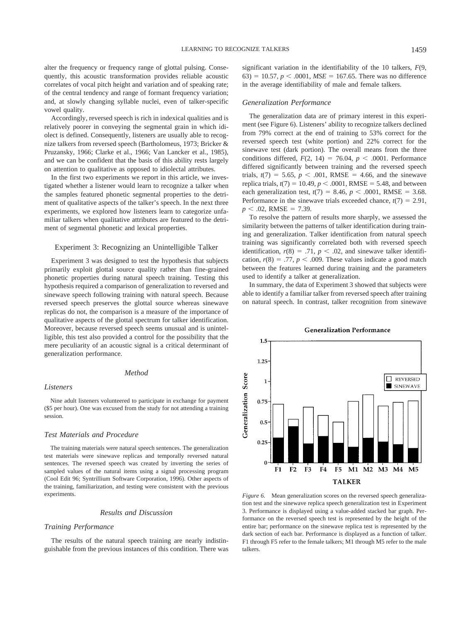alter the frequency or frequency range of glottal pulsing. Consequently, this acoustic transformation provides reliable acoustic correlates of vocal pitch height and variation and of speaking rate; of the central tendency and range of formant frequency variation; and, at slowly changing syllable nuclei, even of talker-specific vowel quality.

Accordingly, reversed speech is rich in indexical qualities and is relatively poorer in conveying the segmental grain in which idiolect is defined. Consequently, listeners are usually able to recognize talkers from reversed speech (Bartholomeus, 1973; Bricker & Pruzansky, 1966; Clarke et al., 1966; Van Lancker et al., 1985), and we can be confident that the basis of this ability rests largely on attention to qualitative as opposed to idiolectal attributes.

In the first two experiments we report in this article, we investigated whether a listener would learn to recognize a talker when the samples featured phonetic segmental properties to the detriment of qualitative aspects of the talker's speech. In the next three experiments, we explored how listeners learn to categorize unfamiliar talkers when qualitative attributes are featured to the detriment of segmental phonetic and lexical properties.

## Experiment 3: Recognizing an Unintelligible Talker

Experiment 3 was designed to test the hypothesis that subjects primarily exploit glottal source quality rather than fine-grained phonetic properties during natural speech training. Testing this hypothesis required a comparison of generalization to reversed and sinewave speech following training with natural speech. Because reversed speech preserves the glottal source whereas sinewave replicas do not, the comparison is a measure of the importance of qualitative aspects of the glottal spectrum for talker identification. Moreover, because reversed speech seems unusual and is unintelligible, this test also provided a control for the possibility that the mere peculiarity of an acoustic signal is a critical determinant of generalization performance.

## *Method*

## *Listeners*

Nine adult listeners volunteered to participate in exchange for payment (\$5 per hour). One was excused from the study for not attending a training session.

#### *Test Materials and Procedure*

The training materials were natural speech sentences. The generalization test materials were sinewave replicas and temporally reversed natural sentences. The reversed speech was created by inverting the series of sampled values of the natural items using a signal processing program (Cool Edit 96; Syntrillium Software Corporation, 1996). Other aspects of the training, familiarization, and testing were consistent with the previous experiments.

## *Results and Discussion*

## *Training Performance*

The results of the natural speech training are nearly indistinguishable from the previous instances of this condition. There was significant variation in the identifiability of the 10 talkers, *F*(9,  $(63) = 10.57, p < .0001, MSE = 167.65$ . There was no difference in the average identifiability of male and female talkers.

## *Generalization Performance*

The generalization data are of primary interest in this experiment (see Figure 6). Listeners' ability to recognize talkers declined from 79% correct at the end of training to 53% correct for the reversed speech test (white portion) and 22% correct for the sinewave test (dark portion). The overall means from the three conditions differed,  $F(2, 14) = 76.04$ ,  $p < .0001$ . Performance differed significantly between training and the reversed speech trials,  $t(7) = 5.65$ ,  $p < .001$ , RMSE = 4.66, and the sinewave replica trials,  $t(7) = 10.49, p < .0001$ , RMSE = 5.48, and between each generalization test,  $t(7) = 8.46$ ,  $p < .0001$ , RMSE = 3.68. Performance in the sinewave trials exceeded chance,  $t(7) = 2.91$ ,  $p < .02$ , RMSE = 7.39.

To resolve the pattern of results more sharply, we assessed the similarity between the patterns of talker identification during training and generalization. Talker identification from natural speech training was significantly correlated both with reversed speech identification,  $r(8) = .71$ ,  $p < .02$ , and sinewave talker identification,  $r(8) = .77$ ,  $p < .009$ . These values indicate a good match between the features learned during training and the parameters used to identify a talker at generalization.

In summary, the data of Experiment 3 showed that subjects were able to identify a familiar talker from reversed speech after training on natural speech. In contrast, talker recognition from sinewave



## *Figure 6.* Mean generalization scores on the reversed speech generalization test and the sinewave replica speech generalization test in Experiment 3. Performance is displayed using a value-added stacked bar graph. Performance on the reversed speech test is represented by the height of the entire bar; performance on the sinewave replica test is represented by the dark section of each bar. Performance is displayed as a function of talker. F1 through F5 refer to the female talkers; M1 through M5 refer to the male talkers.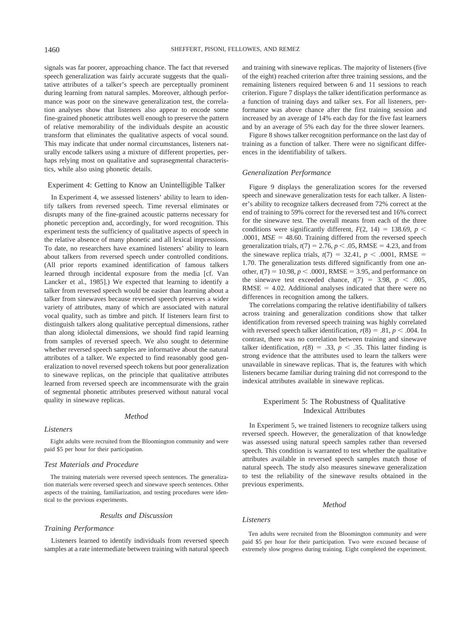signals was far poorer, approaching chance. The fact that reversed speech generalization was fairly accurate suggests that the qualitative attributes of a talker's speech are perceptually prominent during learning from natural samples. Moreover, although performance was poor on the sinewave generalization test, the correlation analyses show that listeners also appear to encode some fine-grained phonetic attributes well enough to preserve the pattern of relative memorability of the individuals despite an acoustic transform that eliminates the qualitative aspects of vocal sound. This may indicate that under normal circumstances, listeners naturally encode talkers using a mixture of different properties, perhaps relying most on qualitative and suprasegmental characteristics, while also using phonetic details.

## Experiment 4: Getting to Know an Unintelligible Talker

In Experiment 4, we assessed listeners' ability to learn to identify talkers from reversed speech. Time reversal eliminates or disrupts many of the fine-grained acoustic patterns necessary for phonetic perception and, accordingly, for word recognition. This experiment tests the sufficiency of qualitative aspects of speech in the relative absence of many phonetic and all lexical impressions. To date, no researchers have examined listeners' ability to learn about talkers from reversed speech under controlled conditions. (All prior reports examined identification of famous talkers learned through incidental exposure from the media [cf. Van Lancker et al., 1985].) We expected that learning to identify a talker from reversed speech would be easier than learning about a talker from sinewaves because reversed speech preserves a wider variety of attributes, many of which are associated with natural vocal quality, such as timbre and pitch. If listeners learn first to distinguish talkers along qualitative perceptual dimensions, rather than along idiolectal dimensions, we should find rapid learning from samples of reversed speech. We also sought to determine whether reversed speech samples are informative about the natural attributes of a talker. We expected to find reasonably good generalization to novel reversed speech tokens but poor generalization to sinewave replicas, on the principle that qualitative attributes learned from reversed speech are incommensurate with the grain of segmental phonetic attributes preserved without natural vocal quality in sinewave replicas.

## *Method*

#### *Listeners*

Eight adults were recruited from the Bloomington community and were paid \$5 per hour for their participation.

## *Test Materials and Procedure*

The training materials were reversed speech sentences. The generalization materials were reversed speech and sinewave speech sentences. Other aspects of the training, familiarization, and testing procedures were identical to the previous experiments.

#### *Results and Discussion*

#### *Training Performance*

Listeners learned to identify individuals from reversed speech samples at a rate intermediate between training with natural speech and training with sinewave replicas. The majority of listeners (five of the eight) reached criterion after three training sessions, and the remaining listeners required between 6 and 11 sessions to reach criterion. Figure 7 displays the talker identification performance as a function of training days and talker sex. For all listeners, performance was above chance after the first training session and increased by an average of 14% each day for the five fast learners and by an average of 5% each day for the three slower learners.

Figure 8 shows talker recognition performance on the last day of training as a function of talker. There were no significant differences in the identifiability of talkers.

#### *Generalization Performance*

Figure 9 displays the generalization scores for the reversed speech and sinewave generalization tests for each talker. A listener's ability to recognize talkers decreased from 72% correct at the end of training to 59% correct for the reversed test and 16% correct for the sinewave test. The overall means from each of the three conditions were significantly different,  $F(2, 14) = 138.69$ ,  $p <$  $.0001$ ,  $MSE = 48.60$ . Training differed from the reversed speech generalization trials,  $t(7) = 2.76$ ,  $p < .05$ , RMSE = 4.23, and from the sinewave replica trials,  $t(7) = 32.41$ ,  $p < .0001$ , RMSE = 1.70. The generalization tests differed significantly from one another,  $t(7) = 10.98$ ,  $p < .0001$ , RMSE = 3.95, and performance on the sinewave test exceeded chance,  $t(7) = 3.98$ ,  $p < .005$ ,  $RMSE = 4.02$ . Additional analyses indicated that there were no differences in recognition among the talkers.

The correlations comparing the relative identifiability of talkers across training and generalization conditions show that talker identification from reversed speech training was highly correlated with reversed speech talker identification,  $r(8) = .81, p < .004$ . In contrast, there was no correlation between training and sinewave talker identification,  $r(8) = .33$ ,  $p < .35$ . This latter finding is strong evidence that the attributes used to learn the talkers were unavailable in sinewave replicas. That is, the features with which listeners became familiar during training did not correspond to the indexical attributes available in sinewave replicas.

## Experiment 5: The Robustness of Qualitative Indexical Attributes

In Experiment 5, we trained listeners to recognize talkers using reversed speech. However, the generalization of that knowledge was assessed using natural speech samples rather than reversed speech. This condition is warranted to test whether the qualitative attributes available in reversed speech samples match those of natural speech. The study also measures sinewave generalization to test the reliability of the sinewave results obtained in the previous experiments.

#### *Method*

## *Listeners*

Ten adults were recruited from the Bloomington community and were paid \$5 per hour for their participation. Two were excused because of extremely slow progress during training. Eight completed the experiment.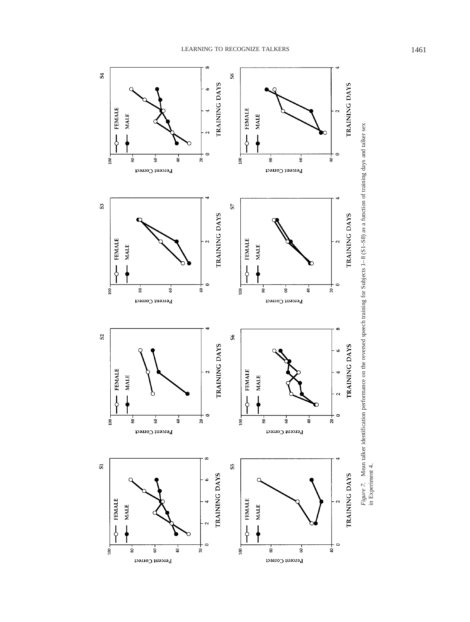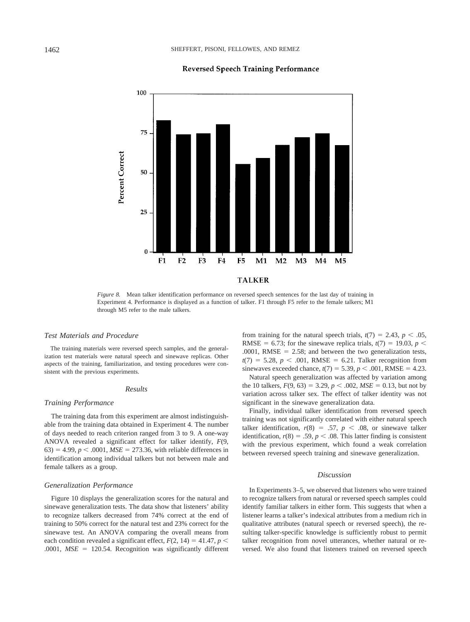## **Reversed Speech Training Performance**



*Figure 8.* Mean talker identification performance on reversed speech sentences for the last day of training in Experiment 4. Performance is displayed as a function of talker. F1 through F5 refer to the female talkers; M1 through M5 refer to the male talkers.

## *Test Materials and Procedure*

The training materials were reversed speech samples, and the generalization test materials were natural speech and sinewave replicas. Other aspects of the training, familiarization, and testing procedures were consistent with the previous experiments.

#### *Results*

## *Training Performance*

The training data from this experiment are almost indistinguishable from the training data obtained in Experiment 4. The number of days needed to reach criterion ranged from 3 to 9. A one-way ANOVA revealed a significant effect for talker identify, *F*(9,  $(63) = 4.99, p < .0001, MSE = 273.36$ , with reliable differences in identification among individual talkers but not between male and female talkers as a group.

#### *Generalization Performance*

Figure 10 displays the generalization scores for the natural and sinewave generalization tests. The data show that listeners' ability to recognize talkers decreased from 74% correct at the end of training to 50% correct for the natural test and 23% correct for the sinewave test. An ANOVA comparing the overall means from each condition revealed a significant effect,  $F(2, 14) = 41.47$ ,  $p <$ .0001,  $MSE = 120.54$ . Recognition was significantly different

from training for the natural speech trials,  $t(7) = 2.43$ ,  $p < .05$ , RMSE = 6.73; for the sinewave replica trials,  $t(7) = 19.03$ ,  $p <$ .0001, RMSE  $= 2.58$ ; and between the two generalization tests,  $t(7) = 5.28, p < .001, RMSE = 6.21$ . Talker recognition from sinewaves exceeded chance,  $t(7) = 5.39, p < .001, RMSE = 4.23$ .

Natural speech generalization was affected by variation among the 10 talkers,  $F(9, 63) = 3.29$ ,  $p < .002$ ,  $MSE = 0.13$ , but not by variation across talker sex. The effect of talker identity was not significant in the sinewave generalization data.

Finally, individual talker identification from reversed speech training was not significantly correlated with either natural speech talker identification,  $r(8) = .57$ ,  $p < .08$ , or sinewave talker identification,  $r(8) = .59$ ,  $p < .08$ . This latter finding is consistent with the previous experiment, which found a weak correlation between reversed speech training and sinewave generalization.

## *Discussion*

In Experiments 3–5, we observed that listeners who were trained to recognize talkers from natural or reversed speech samples could identify familiar talkers in either form. This suggests that when a listener learns a talker's indexical attributes from a medium rich in qualitative attributes (natural speech or reversed speech), the resulting talker-specific knowledge is sufficiently robust to permit talker recognition from novel utterances, whether natural or reversed. We also found that listeners trained on reversed speech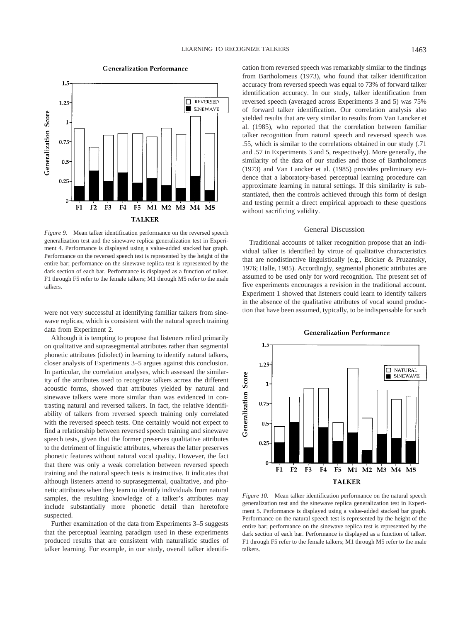

#### **Generalization Performance**

*Figure 9.* Mean talker identification performance on the reversed speech generalization test and the sinewave replica generalization test in Experiment 4. Performance is displayed using a value-added stacked bar graph. Performance on the reversed speech test is represented by the height of the entire bar; performance on the sinewave replica test is represented by the dark section of each bar. Performance is displayed as a function of talker. F1 through F5 refer to the female talkers; M1 through M5 refer to the male talkers.

were not very successful at identifying familiar talkers from sinewave replicas, which is consistent with the natural speech training data from Experiment 2.

Although it is tempting to propose that listeners relied primarily on qualitative and suprasegmental attributes rather than segmental phonetic attributes (idiolect) in learning to identify natural talkers, closer analysis of Experiments 3–5 argues against this conclusion. In particular, the correlation analyses, which assessed the similarity of the attributes used to recognize talkers across the different acoustic forms, showed that attributes yielded by natural and sinewave talkers were more similar than was evidenced in contrasting natural and reversed talkers. In fact, the relative identifiability of talkers from reversed speech training only correlated with the reversed speech tests. One certainly would not expect to find a relationship between reversed speech training and sinewave speech tests, given that the former preserves qualitative attributes to the detriment of linguistic attributes, whereas the latter preserves phonetic features without natural vocal quality. However, the fact that there was only a weak correlation between reversed speech training and the natural speech tests is instructive. It indicates that although listeners attend to suprasegmental, qualitative, and phonetic attributes when they learn to identify individuals from natural samples, the resulting knowledge of a talker's attributes may include substantially more phonetic detail than heretofore suspected.

Further examination of the data from Experiments 3–5 suggests that the perceptual learning paradigm used in these experiments produced results that are consistent with naturalistic studies of talker learning. For example, in our study, overall talker identification from reversed speech was remarkably similar to the findings from Bartholomeus (1973), who found that talker identification accuracy from reversed speech was equal to 73% of forward talker identification accuracy. In our study, talker identification from reversed speech (averaged across Experiments 3 and 5) was 75% of forward talker identification. Our correlation analysis also yielded results that are very similar to results from Van Lancker et al. (1985), who reported that the correlation between familiar talker recognition from natural speech and reversed speech was .55, which is similar to the correlations obtained in our study (.71 and .57 in Experiments 3 and 5, respectively). More generally, the similarity of the data of our studies and those of Bartholomeus (1973) and Van Lancker et al. (1985) provides preliminary evidence that a laboratory-based perceptual learning procedure can approximate learning in natural settings. If this similarity is substantiated, then the controls achieved through this form of design and testing permit a direct empirical approach to these questions without sacrificing validity.

#### General Discussion

Traditional accounts of talker recognition propose that an individual talker is identified by virtue of qualitative characteristics that are nondistinctive linguistically (e.g., Bricker & Pruzansky, 1976; Halle, 1985). Accordingly, segmental phonetic attributes are assumed to be used only for word recognition. The present set of five experiments encourages a revision in the traditional account. Experiment 1 showed that listeners could learn to identify talkers in the absence of the qualitative attributes of vocal sound production that have been assumed, typically, to be indispensable for such



#### **Generalization Performance**

*Figure 10.* Mean talker identification performance on the natural speech generalization test and the sinewave replica generalization test in Experiment 5. Performance is displayed using a value-added stacked bar graph. Performance on the natural speech test is represented by the height of the entire bar; performance on the sinewave replica test is represented by the dark section of each bar. Performance is displayed as a function of talker. F1 through F5 refer to the female talkers; M1 through M5 refer to the male talkers.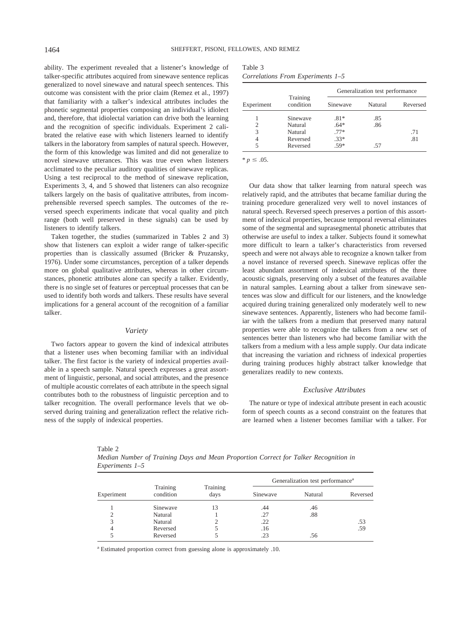ability. The experiment revealed that a listener's knowledge of talker-specific attributes acquired from sinewave sentence replicas generalized to novel sinewave and natural speech sentences. This outcome was consistent with the prior claim (Remez et al., 1997) that familiarity with a talker's indexical attributes includes the phonetic segmental properties composing an individual's idiolect and, therefore, that idiolectal variation can drive both the learning and the recognition of specific individuals. Experiment 2 calibrated the relative ease with which listeners learned to identify talkers in the laboratory from samples of natural speech. However, the form of this knowledge was limited and did not generalize to novel sinewave utterances. This was true even when listeners acclimated to the peculiar auditory qualities of sinewave replicas. Using a test reciprocal to the method of sinewave replication, Experiments 3, 4, and 5 showed that listeners can also recognize talkers largely on the basis of qualitative attributes, from incomprehensible reversed speech samples. The outcomes of the reversed speech experiments indicate that vocal quality and pitch range (both well preserved in these signals) can be used by listeners to identify talkers.

Taken together, the studies (summarized in Tables 2 and 3) show that listeners can exploit a wider range of talker-specific properties than is classically assumed (Bricker & Pruzansky, 1976). Under some circumstances, perception of a talker depends more on global qualitative attributes, whereas in other circumstances, phonetic attributes alone can specify a talker. Evidently, there is no single set of features or perceptual processes that can be used to identify both words and talkers. These results have several implications for a general account of the recognition of a familiar talker.

#### *Variety*

Two factors appear to govern the kind of indexical attributes that a listener uses when becoming familiar with an individual talker. The first factor is the variety of indexical properties available in a speech sample. Natural speech expresses a great assortment of linguistic, personal, and social attributes, and the presence of multiple acoustic correlates of each attribute in the speech signal contributes both to the robustness of linguistic perception and to talker recognition. The overall performance levels that we observed during training and generalization reflect the relative richness of the supply of indexical properties.

| Table 3 |                                   |  |
|---------|-----------------------------------|--|
|         | Correlations From Experiments 1–5 |  |

| Experiment |                       | Generalization test performance |         |          |  |
|------------|-----------------------|---------------------------------|---------|----------|--|
|            | Training<br>condition | Sinewave                        | Natural | Reversed |  |
|            | Sinewave              | $.81*$                          | .85     |          |  |
| 2          | Natural               | $.64*$                          | .86     |          |  |
| 3          | Natural               | $.77*$                          |         | .71      |  |
| 4          | Reversed              | $.33*$                          |         | .81      |  |
| 5          | Reversed              | $.59*$                          | .57     |          |  |

 $* p \le .05$ .

Our data show that talker learning from natural speech was relatively rapid, and the attributes that became familiar during the training procedure generalized very well to novel instances of natural speech. Reversed speech preserves a portion of this assortment of indexical properties, because temporal reversal eliminates some of the segmental and suprasegmental phonetic attributes that otherwise are useful to index a talker. Subjects found it somewhat more difficult to learn a talker's characteristics from reversed speech and were not always able to recognize a known talker from a novel instance of reversed speech. Sinewave replicas offer the least abundant assortment of indexical attributes of the three acoustic signals, preserving only a subset of the features available in natural samples. Learning about a talker from sinewave sentences was slow and difficult for our listeners, and the knowledge acquired during training generalized only moderately well to new sinewave sentences. Apparently, listeners who had become familiar with the talkers from a medium that preserved many natural properties were able to recognize the talkers from a new set of sentences better than listeners who had become familiar with the talkers from a medium with a less ample supply. Our data indicate that increasing the variation and richness of indexical properties during training produces highly abstract talker knowledge that generalizes readily to new contexts.

#### *Exclusive Attributes*

The nature or type of indexical attribute present in each acoustic form of speech counts as a second constraint on the features that are learned when a listener becomes familiar with a talker. For

Table 2 *Median Number of Training Days and Mean Proportion Correct for Talker Recognition in Experiments 1–5*

| Experiment | Training<br>condition | Training<br>days | Generalization test performance <sup>a</sup> |         |          |
|------------|-----------------------|------------------|----------------------------------------------|---------|----------|
|            |                       |                  | Sinewave                                     | Natural | Reversed |
|            | Sinewave              | 13               | .44                                          | .46     |          |
|            | Natural               |                  | .27                                          | .88     |          |
|            | Natural               |                  | .22                                          |         | .53      |
|            | Reversed              |                  | .16                                          |         | .59      |
|            | Reversed              |                  | .23                                          | .56     |          |

<sup>a</sup> Estimated proportion correct from guessing alone is approximately .10.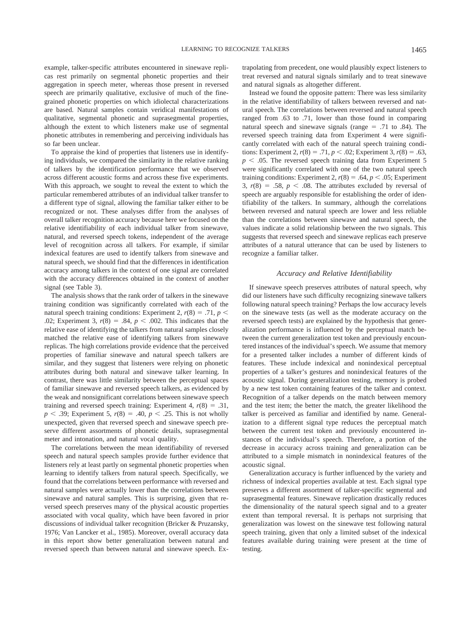example, talker-specific attributes encountered in sinewave replicas rest primarily on segmental phonetic properties and their aggregation in speech meter, whereas those present in reversed speech are primarily qualitative, exclusive of much of the finegrained phonetic properties on which idiolectal characterizations are based. Natural samples contain veridical manifestations of qualitative, segmental phonetic and suprasegmental properties, although the extent to which listeners make use of segmental phonetic attributes in remembering and perceiving individuals has so far been unclear.

To appraise the kind of properties that listeners use in identifying individuals, we compared the similarity in the relative ranking of talkers by the identification performance that we observed across different acoustic forms and across these five experiments. With this approach, we sought to reveal the extent to which the particular remembered attributes of an individual talker transfer to a different type of signal, allowing the familiar talker either to be recognized or not. These analyses differ from the analyses of overall talker recognition accuracy because here we focused on the relative identifiability of each individual talker from sinewave, natural, and reversed speech tokens, independent of the average level of recognition across all talkers. For example, if similar indexical features are used to identify talkers from sinewave and natural speech, we should find that the differences in identification accuracy among talkers in the context of one signal are correlated with the accuracy differences obtained in the context of another signal (see Table 3).

The analysis shows that the rank order of talkers in the sinewave training condition was significantly correlated with each of the natural speech training conditions: Experiment 2,  $r(8) = .71$ ,  $p <$ .02; Experiment 3,  $r(8) = .84$ ,  $p < .002$ . This indicates that the relative ease of identifying the talkers from natural samples closely matched the relative ease of identifying talkers from sinewave replicas. The high correlations provide evidence that the perceived properties of familiar sinewave and natural speech talkers are similar, and they suggest that listeners were relying on phonetic attributes during both natural and sinewave talker learning. In contrast, there was little similarity between the perceptual spaces of familiar sinewave and reversed speech talkers, as evidenced by the weak and nonsignificant correlations between sinewave speech training and reversed speech training: Experiment 4,  $r(8) = .31$ ,  $p \leq 0.39$ ; Experiment 5,  $r(8) = 0.40$ ,  $p \leq 0.25$ . This is not wholly unexpected, given that reversed speech and sinewave speech preserve different assortments of phonetic details, suprasegmental meter and intonation, and natural vocal quality.

The correlations between the mean identifiability of reversed speech and natural speech samples provide further evidence that listeners rely at least partly on segmental phonetic properties when learning to identify talkers from natural speech. Specifically, we found that the correlations between performance with reversed and natural samples were actually lower than the correlations between sinewave and natural samples. This is surprising, given that reversed speech preserves many of the physical acoustic properties associated with vocal quality, which have been favored in prior discussions of individual talker recognition (Bricker & Pruzansky, 1976; Van Lancker et al., 1985). Moreover, overall accuracy data in this report show better generalization between natural and reversed speech than between natural and sinewave speech. Extrapolating from precedent, one would plausibly expect listeners to treat reversed and natural signals similarly and to treat sinewave and natural signals as altogether different.

Instead we found the opposite pattern: There was less similarity in the relative identifiability of talkers between reversed and natural speech. The correlations between reversed and natural speech ranged from .63 to .71, lower than those found in comparing natural speech and sinewave signals (range  $= .71$  to .84). The reversed speech training data from Experiment 4 were significantly correlated with each of the natural speech training conditions: Experiment 2,  $r(8) = .71$ ,  $p < .02$ ; Experiment 3,  $r(8) = .63$ ,  $p < .05$ . The reversed speech training data from Experiment 5 were significantly correlated with one of the two natural speech training conditions: Experiment 2,  $r(8) = .64$ ,  $p < .05$ ; Experiment 3,  $r(8) = .58$ ,  $p < .08$ . The attributes excluded by reversal of speech are arguably responsible for establishing the order of identifiability of the talkers. In summary, although the correlations between reversed and natural speech are lower and less reliable than the correlations between sinewave and natural speech, the values indicate a solid relationship between the two signals. This suggests that reversed speech and sinewave replicas each preserve attributes of a natural utterance that can be used by listeners to recognize a familiar talker.

## *Accuracy and Relative Identifiability*

If sinewave speech preserves attributes of natural speech, why did our listeners have such difficulty recognizing sinewave talkers following natural speech training? Perhaps the low accuracy levels on the sinewave tests (as well as the moderate accuracy on the reversed speech tests) are explained by the hypothesis that generalization performance is influenced by the perceptual match between the current generalization test token and previously encountered instances of the individual's speech. We assume that memory for a presented talker includes a number of different kinds of features. These include indexical and nonindexical perceptual properties of a talker's gestures and nonindexical features of the acoustic signal. During generalization testing, memory is probed by a new test token containing features of the talker and context. Recognition of a talker depends on the match between memory and the test item; the better the match, the greater likelihood the talker is perceived as familiar and identified by name. Generalization to a different signal type reduces the perceptual match between the current test token and previously encountered instances of the individual's speech. Therefore, a portion of the decrease in accuracy across training and generalization can be attributed to a simple mismatch in nonindexical features of the acoustic signal.

Generalization accuracy is further influenced by the variety and richness of indexical properties available at test. Each signal type preserves a different assortment of talker-specific segmental and suprasegmental features. Sinewave replication drastically reduces the dimensionality of the natural speech signal and to a greater extent than temporal reversal. It is perhaps not surprising that generalization was lowest on the sinewave test following natural speech training, given that only a limited subset of the indexical features available during training were present at the time of testing.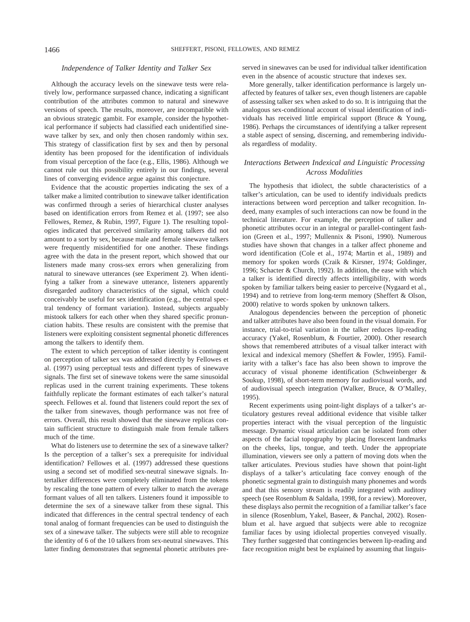# *Independence of Talker Identity and Talker Sex*

Although the accuracy levels on the sinewave tests were relatively low, performance surpassed chance, indicating a significant contribution of the attributes common to natural and sinewave versions of speech. The results, moreover, are incompatible with an obvious strategic gambit. For example, consider the hypothetical performance if subjects had classified each unidentified sinewave talker by sex, and only then chosen randomly within sex. This strategy of classification first by sex and then by personal identity has been proposed for the identification of individuals from visual perception of the face (e.g., Ellis, 1986). Although we cannot rule out this possibility entirely in our findings, several lines of converging evidence argue against this conjecture.

Evidence that the acoustic properties indicating the sex of a talker make a limited contribution to sinewave talker identification was confirmed through a series of hierarchical cluster analyses based on identification errors from Remez et al. (1997; see also Fellowes, Remez, & Rubin, 1997, Figure 1). The resulting topologies indicated that perceived similarity among talkers did not amount to a sort by sex, because male and female sinewave talkers were frequently misidentified for one another. These findings agree with the data in the present report, which showed that our listeners made many cross-sex errors when generalizing from natural to sinewave utterances (see Experiment 2). When identifying a talker from a sinewave utterance, listeners apparently disregarded auditory characteristics of the signal, which could conceivably be useful for sex identification (e.g., the central spectral tendency of formant variation). Instead, subjects arguably mistook talkers for each other when they shared specific pronunciation habits. These results are consistent with the premise that listeners were exploiting consistent segmental phonetic differences among the talkers to identify them.

The extent to which perception of talker identity is contingent on perception of talker sex was addressed directly by Fellowes et al. (1997) using perceptual tests and different types of sinewave signals. The first set of sinewave tokens were the same sinusoidal replicas used in the current training experiments. These tokens faithfully replicate the formant estimates of each talker's natural speech. Fellowes et al. found that listeners could report the sex of the talker from sinewaves, though performance was not free of errors. Overall, this result showed that the sinewave replicas contain sufficient structure to distinguish male from female talkers much of the time.

What do listeners use to determine the sex of a sinewave talker? Is the perception of a talker's sex a prerequisite for individual identification? Fellowes et al. (1997) addressed these questions using a second set of modified sex-neutral sinewave signals. Intertalker differences were completely eliminated from the tokens by rescaling the tone pattern of every talker to match the average formant values of all ten talkers. Listeners found it impossible to determine the sex of a sinewave talker from these signal. This indicated that differences in the central spectral tendency of each tonal analog of formant frequencies can be used to distinguish the sex of a sinewave talker. The subjects were still able to recognize the identity of 6 of the 10 talkers from sex-neutral sinewaves. This latter finding demonstrates that segmental phonetic attributes preserved in sinewaves can be used for individual talker identification even in the absence of acoustic structure that indexes sex.

More generally, talker identification performance is largely unaffected by features of talker sex, even though listeners are capable of assessing talker sex when asked to do so. It is intriguing that the analogous sex-conditional account of visual identification of individuals has received little empirical support (Bruce & Young, 1986). Perhaps the circumstances of identifying a talker represent a stable aspect of sensing, discerning, and remembering individuals regardless of modality.

# *Interactions Between Indexical and Linguistic Processing Across Modalities*

The hypothesis that idiolect, the subtle characteristics of a talker's articulation, can be used to identify individuals predicts interactions between word perception and talker recognition. Indeed, many examples of such interactions can now be found in the technical literature. For example, the perception of talker and phonetic attributes occur in an integral or parallel-contingent fashion (Green et al., 1997; Mullennix & Pisoni, 1990). Numerous studies have shown that changes in a talker affect phoneme and word identification (Cole et al., 1974; Martin et al., 1989) and memory for spoken words (Craik & Kirsner, 1974; Goldinger, 1996; Schacter & Church, 1992). In addition, the ease with which a talker is identified directly affects intelligibility, with words spoken by familiar talkers being easier to perceive (Nygaard et al., 1994) and to retrieve from long-term memory (Sheffert & Olson, 2000) relative to words spoken by unknown talkers.

Analogous dependencies between the perception of phonetic and talker attributes have also been found in the visual domain. For instance, trial-to-trial variation in the talker reduces lip-reading accuracy (Yakel, Rosenblum, & Fourtier, 2000). Other research shows that remembered attributes of a visual talker interact with lexical and indexical memory (Sheffert & Fowler, 1995). Familiarity with a talker's face has also been shown to improve the accuracy of visual phoneme identification (Schweinberger & Soukup, 1998), of short-term memory for audiovisual words, and of audiovisual speech integration (Walker, Bruce, & O'Malley, 1995).

Recent experiments using point-light displays of a talker's articulatory gestures reveal additional evidence that visible talker properties interact with the visual perception of the linguistic message. Dynamic visual articulation can be isolated from other aspects of the facial topography by placing florescent landmarks on the cheeks, lips, tongue, and teeth. Under the appropriate illumination, viewers see only a pattern of moving dots when the talker articulates. Previous studies have shown that point-light displays of a talker's articulating face convey enough of the phonetic segmental grain to distinguish many phonemes and words and that this sensory stream is readily integrated with auditory speech (see Rosenblum & Saldaña, 1998, for a review). Moreover, these displays also permit the recognition of a familiar talker's face in silence (Rosenblum, Yakel, Baseer, & Panchal, 2002). Rosenblum et al. have argued that subjects were able to recognize familiar faces by using idiolectal properties conveyed visually. They further suggested that contingencies between lip-reading and face recognition might best be explained by assuming that linguis-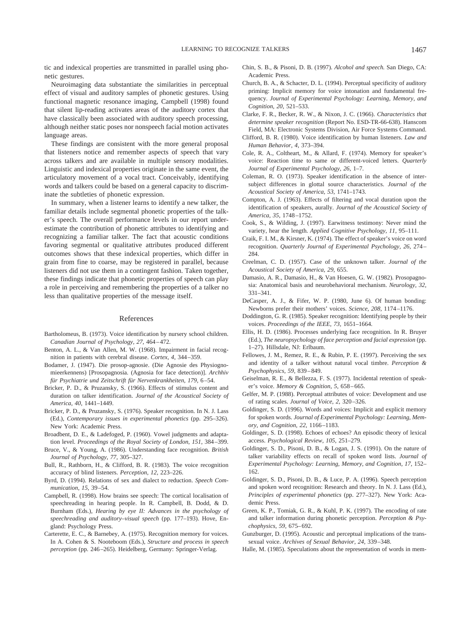tic and indexical properties are transmitted in parallel using phonetic gestures.

Neuroimaging data substantiate the similarities in perceptual effect of visual and auditory samples of phonetic gestures. Using functional magnetic resonance imaging, Campbell (1998) found that silent lip-reading activates areas of the auditory cortex that have classically been associated with auditory speech processing, although neither static poses nor nonspeech facial motion activates language areas.

These findings are consistent with the more general proposal that listeners notice and remember aspects of speech that vary across talkers and are available in multiple sensory modalities. Linguistic and indexical properties originate in the same event, the articulatory movement of a vocal tract. Conceivably, identifying words and talkers could be based on a general capacity to discriminate the subtleties of phonetic expression.

In summary, when a listener learns to identify a new talker, the familiar details include segmental phonetic properties of the talker's speech. The overall performance levels in our report underestimate the contribution of phonetic attributes to identifying and recognizing a familiar talker. The fact that acoustic conditions favoring segmental or qualitative attributes produced different outcomes shows that these indexical properties, which differ in grain from fine to coarse, may be registered in parallel, because listeners did not use them in a contingent fashion. Taken together, these findings indicate that phonetic properties of speech can play a role in perceiving and remembering the properties of a talker no less than qualitative properties of the message itself.

## References

- Bartholomeus, B. (1973). Voice identification by nursery school children. *Canadian Journal of Psychology, 27,* 464–472.
- Benton, A. L., & Van Allen, M. W. (1968). Impairment in facial recognition in patients with cerebral disease. *Cortex, 4,* 344–359.
- Bodamer, J. (1947). Die prosop-agnosie. (Die Agnosie des Physiognomieerkennens) [Prosopagnosia. (Agnosia for face detection)]. *Archhiv fu¨r Psychiatrie und Zeitschrift fu¨r Nervenkrankheiten, 179,* 6–54.
- Bricker, P. D., & Pruzansky, S. (1966). Effects of stimulus content and duration on talker identification. *Journal of the Acoustical Society of America, 40,* 1441–1449.
- Bricker, P. D., & Pruzansky, S. (1976). Speaker recognition. In N. J. Lass (Ed.), *Contemporary issues in experimental phonetics* (pp. 295–326). New York: Academic Press.
- Broadbent, D. E., & Ladefoged, P. (1960). Vowel judgments and adaptation level. *Proceedings of the Royal Society of London, 151,* 384–399.
- Bruce, V., & Young, A. (1986). Understanding face recognition. *British Journal of Psychology, 77,* 305–327.
- Bull, R., Rathborn, H., & Clifford, B. R. (1983). The voice recognition accuracy of blind listeners. *Perception, 12,* 223–226.
- Byrd, D. (1994). Relations of sex and dialect to reduction. *Speech Communication, 15,* 39–54.
- Campbell, R. (1998). How brains see speech: The cortical localisation of speechreading in hearing people. In R. Campbell, B. Dodd, & D. Burnham (Eds.), *Hearing by eye II: Advances in the psychology of speechreading and auditory–visual speech* (pp. 177–193). Hove, England: Psychology Press.
- Carterette, E. C., & Barnebey, A. (1975). Recognition memory for voices. In A. Cohen & S. Nooteboom (Eds.), *Structure and process in speech perception* (pp. 246–265). Heidelberg, Germany: Springer-Verlag.
- Chin, S. B., & Pisoni, D. B. (1997). *Alcohol and speech.* San Diego, CA: Academic Press.
- Church, B. A., & Schacter, D. L. (1994). Perceptual specificity of auditory priming: Implicit memory for voice intonation and fundamental frequency. *Journal of Experimental Psychology: Learning, Memory, and Cognition, 20,* 521–533.
- Clarke, F. R., Becker, R. W., & Nixon, J. C. (1966). *Characteristics that determine speaker recognition* (Report No. ESD-TR-66-638). Hanscom Field, MA: Electronic Systems Division, Air Force Systems Command.
- Clifford, B. R. (1980). Voice identification by human listeners. *Law and Human Behavior, 4,* 373–394.
- Cole, R. A., Coltheart, M., & Allard, F. (1974). Memory for speaker's voice: Reaction time to same or different-voiced letters. *Quarterly Journal of Experimental Psychology, 26,* 1–7.
- Coleman, R. O. (1973). Speaker identification in the absence of intersubject differences in glottal source characteristics. *Journal of the Acoustical Society of America, 53,* 1741–1743.
- Compton, A. J. (1963). Effects of filtering and vocal duration upon the identification of speakers, aurally. *Journal of the Acoustical Society of America, 35,* 1748–1752.
- Cook, S., & Wilding, J. (1997). Earwitness testimony: Never mind the variety, hear the length. *Applied Cognitive Psychology, 11,* 95–111.
- Craik, F. I. M., & Kirsner, K. (1974). The effect of speaker's voice on word recognition. *Quarterly Journal of Experimental Psychology, 26,* 274– 284.
- Creelman, C. D. (1957). Case of the unknown talker. *Journal of the Acoustical Society of America, 29,* 655.
- Damasio, A. R., Damasio, H., & Van Hoesen, G. W. (1982). Prosopagnosia: Anatomical basis and neurobehavioral mechanism. *Neurology, 32,* 331–341.
- DeCasper, A. J., & Fifer, W. P. (1980, June 6). Of human bonding: Newborns prefer their mothers' voices. *Science, 208,* 1174–1176.
- Doddington, G. R. (1985). Speaker recognition: Identifying people by their voices. *Proceedings of the IEEE, 73,* 1651–1664.
- Ellis, H. D. (1986). Processes underlying face recognition. In R. Bruyer (Ed.), *The neuropsychology of face perception and facial expression* (pp. 1–27). Hillsdale, NJ: Erlbaum.
- Fellowes, J. M., Remez, R. E., & Rubin, P. E. (1997). Perceiving the sex and identity of a talker without natural vocal timbre. *Perception & Psychophysics, 59,* 839–849.
- Geiselman, R. E., & Bellezza, F. S. (1977). Incidental retention of speaker's voice. *Memory & Cognition, 5,* 658–665.
- Gelfer, M. P. (1988). Perceptual attributes of voice: Development and use of rating scales. *Journal of Voice, 2,* 320–326.
- Goldinger, S. D. (1996). Words and voices: Implicit and explicit memory for spoken words. *Journal of Experimental Psychology: Learning, Memory, and Cognition, 22,* 1166–1183.
- Goldinger, S. D. (1998). Echoes of echoes? An episodic theory of lexical access. *Psychological Review, 105,* 251–279.
- Goldinger, S. D., Pisoni, D. B., & Logan, J. S. (1991). On the nature of talker variability effects on recall of spoken word lists. *Journal of Experimental Psychology: Learning, Memory, and Cognition, 17,* 152– 162.
- Goldinger, S. D., Pisoni, D. B., & Luce, P. A. (1996). Speech perception and spoken word recognition: Research and theory. In N. J. Lass (Ed.), *Principles of experimental phonetics* (pp. 277–327). New York: Academic Press.
- Green, K. P., Tomiak, G. R., & Kuhl, P. K. (1997). The encoding of rate and talker information during phonetic perception. *Perception & Psychophysics, 59,* 675–692.
- Gunzburger, D. (1995). Acoustic and perceptual implications of the transsexual voice. *Archives of Sexual Behavior, 24,* 339–348.
- Halle, M. (1985). Speculations about the representation of words in mem-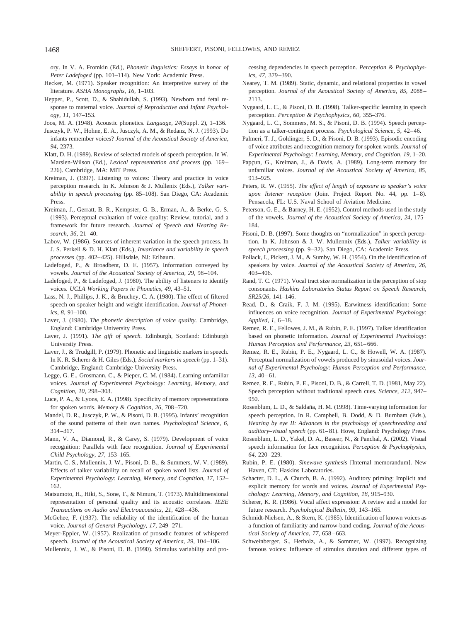ory. In V. A. Fromkin (Ed.), *Phonetic linguistics: Essays in honor of Peter Ladefoged* (pp. 101–114). New York: Academic Press.

- Hecker, M. (1971). Speaker recognition: An interpretive survey of the literature. *ASHA Monographs, 16,* 1–103.
- Hepper, P., Scott, D., & Shahidullah, S. (1993). Newborn and fetal response to maternal voice. *Journal of Reproductive and Infant Psychology, 11,* 147–153.
- Joos, M. A. (1948). Acoustic phonetics. *Language, 24*(Suppl. 2), 1–136.
- Jusczyk, P. W., Hohne, E. A., Jusczyk, A. M., & Redanz, N. J. (1993). Do infants remember voices? *Journal of the Acoustical Society of America, 94,* 2373.
- Klatt, D. H. (1989). Review of selected models of speech perception. In W. Marslen-Wilson (Ed.), *Lexical representation and process* (pp. 169– 226). Cambridge, MA: MIT Press.
- Kreiman, J. (1997). Listening to voices: Theory and practice in voice perception research. In K. Johnson & J. Mullenix (Eds.), *Talker variability in speech processing* (pp. 85–108). San Diego, CA: Academic Press.
- Kreiman, J., Gerratt, B. R., Kempster, G. B., Erman, A., & Berke, G. S. (1993). Perceptual evaluation of voice quality: Review, tutorial, and a framework for future research. *Journal of Speech and Hearing Research, 36,* 21–40.
- Labov, W. (1986). Sources of inherent variation in the speech process. In J. S. Perkell & D. H. Klatt (Eds.), *Invariance and variability in speech processes* (pp. 402–425). Hillsdale, NJ: Erlbaum.
- Ladefoged, P., & Broadbent, D. E. (1957). Information conveyed by vowels. *Journal of the Acoustical Society of America, 29,* 98–104.
- Ladefoged, P., & Ladefoged, J. (1980). The ability of listeners to identify voices. *UCLA Working Papers in Phonetics, 49,* 43–51.
- Lass, N. J., Phillips, J. K., & Bruchey, C. A. (1980). The effect of filtered speech on speaker height and weight identification. *Journal of Phonetics, 8,* 91–100.
- Laver, J. (1980). *The phonetic description of voice quality.* Cambridge, England: Cambridge University Press.
- Laver, J. (1991). *The gift of speech.* Edinburgh, Scotland: Edinburgh University Press.
- Laver, J., & Trudgill, P. (1979). Phonetic and linguistic markers in speech. In K. R. Scherer & H. Giles (Eds.), *Social markers in speech* (pp. 1–31). Cambridge, England: Cambridge University Press.
- Legge, G. E., Grosmann, C., & Pieper, C. M. (1984). Learning unfamiliar voices. *Journal of Experimental Psychology: Learning, Memory, and Cognition, 10,* 298–303.
- Luce, P. A., & Lyons, E. A. (1998). Specificity of memory representations for spoken words. *Memory & Cognition, 26,* 708–720.
- Mandel, D. R., Jusczyk, P. W., & Pisoni, D. B. (1995). Infants' recognition of the sound patterns of their own names. *Psychological Science, 6,* 314–317.
- Mann, V. A., Diamond, R., & Carey, S. (1979). Development of voice recognition: Parallels with face recognition. *Journal of Experimental Child Psychology, 27,* 153–165.
- Martin, C. S., Mullennix, J. W., Pisoni, D. B., & Summers, W. V. (1989). Effects of talker variability on recall of spoken word lists. *Journal of Experimental Psychology: Learning, Memory, and Cognition, 17,* 152– 162.
- Matsumoto, H., Hiki, S., Sone, T., & Nimura, T. (1973). Multidimensional representation of personal quality and its acoustic correlates. *IEEE Transactions on Audio and Electroacoustics, 21,* 428–436.
- McGehee, F. (1937). The reliability of the identification of the human voice. *Journal of General Psychology, 17,* 249–271.
- Meyer-Eppler, W. (1957). Realization of prosodic features of whispered speech. *Journal of the Acoustical Society of America, 29,* 104–106.

Mullennix, J. W., & Pisoni, D. B. (1990). Stimulus variability and pro-

cessing dependencies in speech perception. *Perception & Psychophysics, 47,* 379–390.

- Nearey, T. M. (1989). Static, dynamic, and relational properties in vowel perception. *Journal of the Acoustical Society of America, 85,* 2088– 2113.
- Nygaard, L. C., & Pisoni, D. B. (1998). Talker-specific learning in speech perception. *Perception & Psychophysics, 60,* 355–376.
- Nygaard, L. C., Sommers, M. S., & Pisoni, D. B. (1994). Speech perception as a talker-contingent process. *Psychological Science, 5,* 42–46.
- Palmeri, T. J., Goldinger, S. D., & Pisoni, D. B. (1993). Episodic encoding of voice attributes and recognition memory for spoken words. *Journal of Experimental Psychology: Learning, Memory, and Cognition, 19,* 1–20.
- Papçun, G., Kreiman, J., & Davis, A. (1989). Long-term memory for unfamiliar voices. *Journal of the Acoustical Society of America, 85,* 913–925.
- Peters, R. W. (1955). *The effect of length of exposure to speaker's voice upon listener reception* (Joint Project Report No. 44, pp. 1–8). Pensacola, FL: U.S. Naval School of Aviation Medicine.
- Peterson, G. E., & Barney, H. E. (1952). Control methods used in the study of the vowels. *Journal of the Acoustical Society of America, 24,* 175– 184.
- Pisoni, D. B. (1997). Some thoughts on "normalization" in speech perception. In K. Johnson & J. W. Mullennix (Eds.), *Talker variability in speech processing* (pp. 9–32). San Diego, CA: Academic Press.
- Pollack, I., Pickett, J. M., & Sumby, W. H. (1954). On the identification of speakers by voice. *Journal of the Acoustical Society of America, 26,* 403–406.
- Rand, T. C. (1971). Vocal tract size normalization in the perception of stop consonants. *Haskins Laboratories Status Report on Speech Research, SR25/26,* 141–146.
- Read, D., & Craik, F. J. M. (1995). Earwitness identification: Some influences on voice recognition. *Journal of Experimental Psychology: Applied, 1,* 6–18.
- Remez, R. E., Fellowes, J. M., & Rubin, P. E. (1997). Talker identification based on phonetic information. *Journal of Experimental Psychology: Human Perception and Performance, 23,* 651–666.
- Remez, R. E., Rubin, P. E., Nygaard, L. C., & Howell, W. A. (1987). Perceptual normalization of vowels produced by sinusoidal voices. *Journal of Experimental Psychology: Human Perception and Performance, 13,* 40–61.
- Remez, R. E., Rubin, P. E., Pisoni, D. B., & Carrell, T. D. (1981, May 22). Speech perception without traditional speech cues. *Science, 212,* 947– 950.
- Rosenblum, L. D., & Saldaña, H. M. (1998). Time-varying information for speech perception. In R. Campbell, B. Dodd, & D. Burnham (Eds.), *Hearing by eye II: Advances in the psychology of speechreading and auditory–visual speech* (pp. 61–81). Hove, England: Psychology Press.
- Rosenblum, L. D., Yakel, D. A., Baseer, N., & Panchal, A. (2002). Visual speech information for face recognition. *Perception & Psychophysics, 64,* 220–229.
- Rubin, P. E. (1980). *Sinewave synthesis* [Internal memorandum]. New Haven, CT: Haskins Laboratories.
- Schacter, D. L., & Church, B. A. (1992). Auditory priming: Implicit and explicit memory for words and voices. *Journal of Experimental Psychology: Learning, Memory, and Cognition, 18,* 915–930.
- Scherer, K. R. (1986). Vocal affect expression: A review and a model for future research. *Psychological Bulletin, 99,* 143–165.
- Schmidt-Nielsen, A., & Stern, K. (1985). Identification of known voices as a function of familiarity and narrow-band coding. *Journal of the Acoustical Society of America, 77,* 658–663.
- Schweinberger, S., Herholz, A., & Sommer, W. (1997). Recognizing famous voices: Influence of stimulus duration and different types of